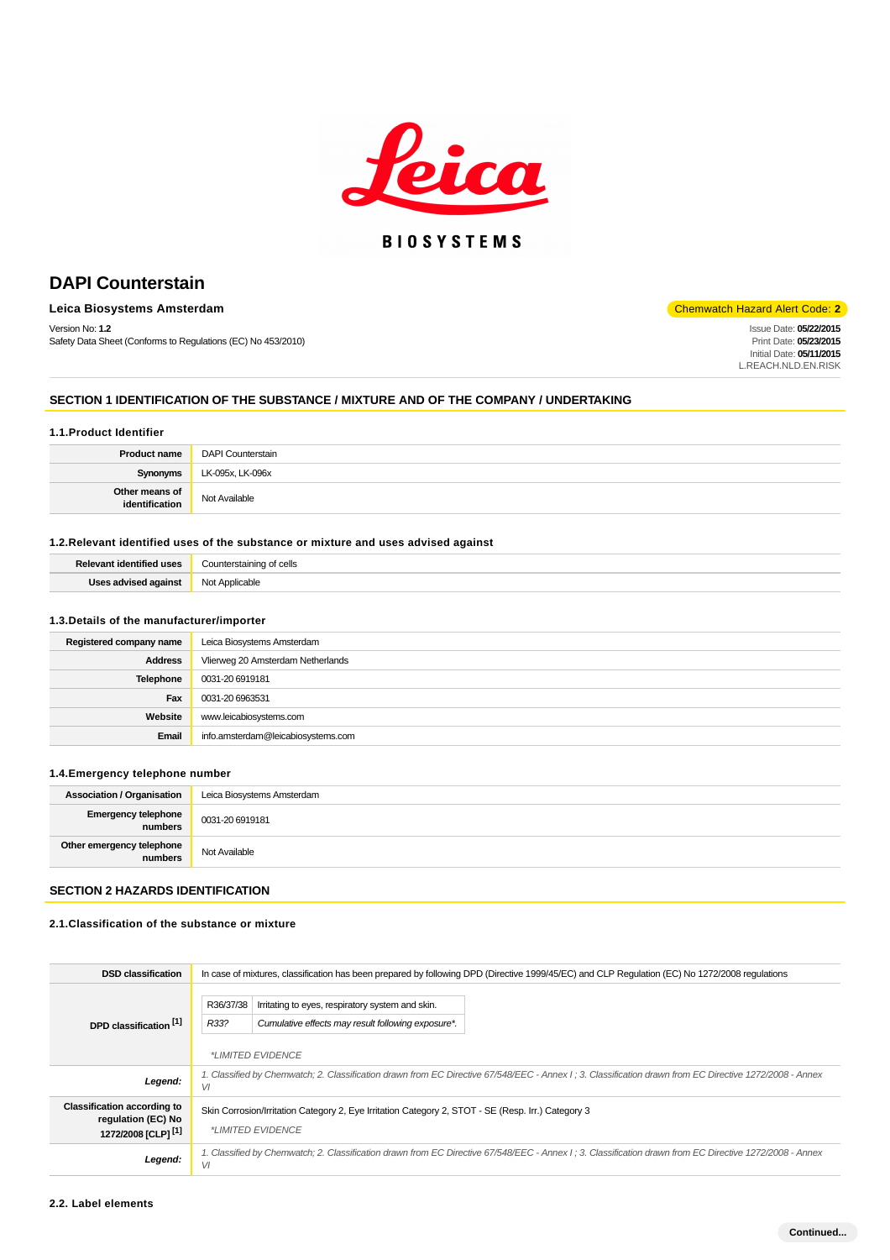

## **BIOSYSTEMS**

## **DAPI Counterstain**

## **Leica Biosystems Amsterdam** Chemwatch Hazard Alert Code: 2<sup>1</sup>

Version No: **1.2** Safety Data Sheet (Conforms to Regulations (EC) No 453/2010)

# Issue Date: **05/22/2015**

Print Date: **05/23/2015** Initial Date: **05/11/2015** L.REACH.NLD.EN.RISK

#### **SECTION 1 IDENTIFICATION OF THE SUBSTANCE / MIXTURE AND OF THE COMPANY / UNDERTAKING**

#### **1.1.Product Identifier**

| <b>Product name</b>              | DAPI Counterstain |
|----------------------------------|-------------------|
| Synonyms                         | LK-095x, LK-096x  |
| Other means of<br>identification | Not Available     |

## **1.2.Relevant identified uses of the substance or mixture and uses advised against**

| <b>Dalou</b> | cells                     |
|--------------|---------------------------|
| .            | ∴ount⁄                    |
| ممما ا       | <b>Not</b><br>"cable<br>. |

#### **1.3.Details of the manufacturer/importer**

| Registered company name | Leica Biosystems Amsterdam         |
|-------------------------|------------------------------------|
| <b>Address</b>          | Vlierweg 20 Amsterdam Netherlands  |
| <b>Telephone</b>        | 0031-20 6919181                    |
| Fax                     | 0031-20 6963531                    |
| Website                 | www.leicabiosystems.com            |
| Email                   | info.amsterdam@leicabiosystems.com |

#### **1.4.Emergency telephone number**

| <b>Association / Organisation</b>    | Leica Biosystems Amsterdam |
|--------------------------------------|----------------------------|
| <b>Emergency telephone</b>           | $\bigcup$ 0031-20 6919181  |
| Other emergency telephone<br>numbers | Not Available              |
|                                      |                            |

## **SECTION 2 HAZARDS IDENTIFICATION**

## **2.1.Classification of the substance or mixture**

| <b>DSD</b> classification                                                                  |                                                                                                                                                               | In case of mixtures, classification has been prepared by following DPD (Directive 1999/45/EC) and CLP Regulation (EC) No 1272/2008 regulations |  |  |
|--------------------------------------------------------------------------------------------|---------------------------------------------------------------------------------------------------------------------------------------------------------------|------------------------------------------------------------------------------------------------------------------------------------------------|--|--|
| DPD classification <sup>[1]</sup>                                                          | R36/37/38<br>Irritating to eyes, respiratory system and skin.<br>R33?<br>Cumulative effects may result following exposure*.<br>*LIMITED EVIDENCE              |                                                                                                                                                |  |  |
| Legend:                                                                                    | 1. Classified by Chemwatch; 2. Classification drawn from EC Directive 67/548/EEC - Annex I; 3. Classification drawn from EC Directive 1272/2008 - Annex<br>VI |                                                                                                                                                |  |  |
| <b>Classification according to</b><br>regulation (EC) No<br>1272/2008 [CLP] <sup>[1]</sup> | Skin Corrosion/Irritation Category 2, Eye Irritation Category 2, STOT - SE (Resp. Irr.) Category 3<br>*LIMITED EVIDENCE                                       |                                                                                                                                                |  |  |
| Legend:                                                                                    | 1. Classified by Chemwatch; 2. Classification drawn from EC Directive 67/548/EEC - Annex I; 3. Classification drawn from EC Directive 1272/2008 - Annex<br>VI |                                                                                                                                                |  |  |
|                                                                                            |                                                                                                                                                               |                                                                                                                                                |  |  |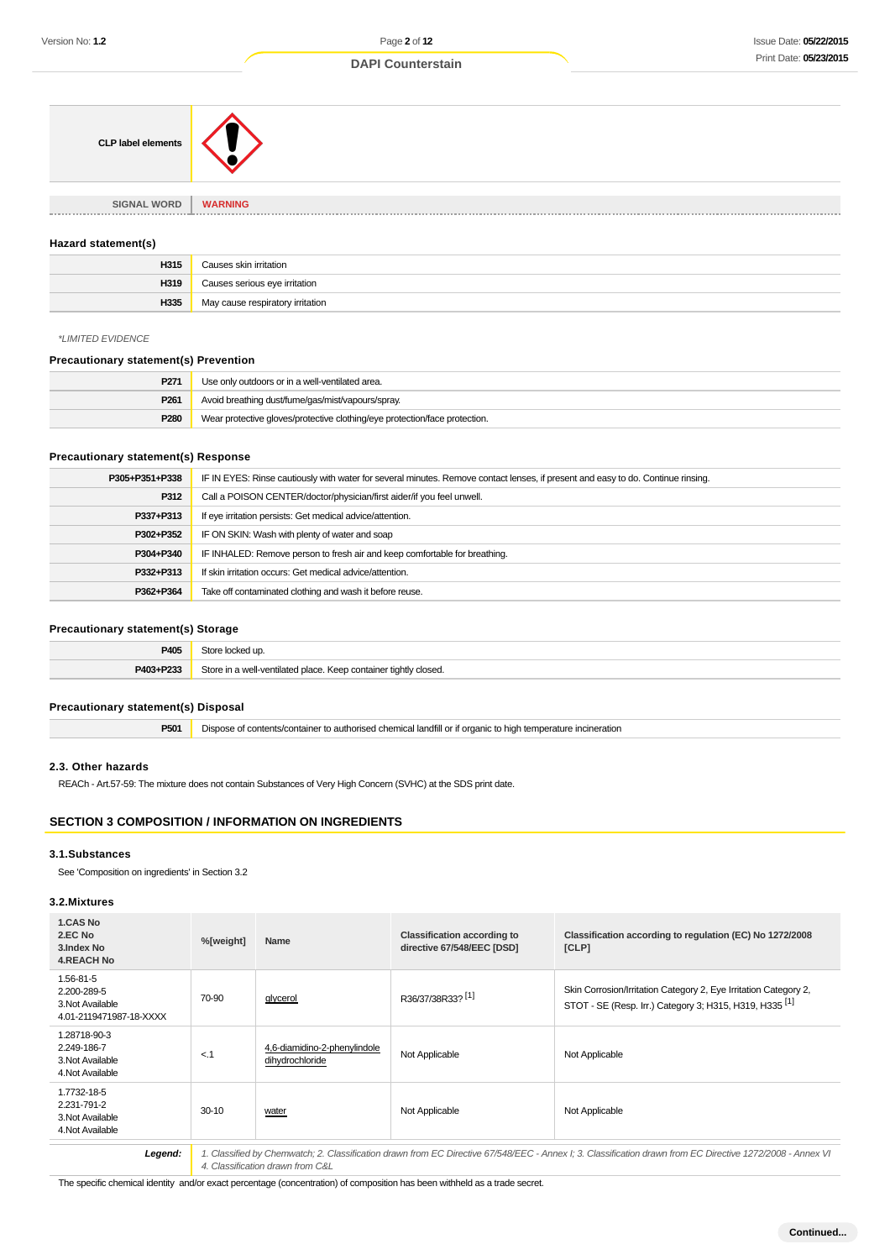#### **DAPI Counterstain**

| <b>CLP label elements</b> |                      |
|---------------------------|----------------------|
| <b>SIGNAL WORD</b>        | <b>WARNING</b>       |
|                           | <b><i>BRBBBB</i></b> |

#### **Hazard statement(s)**

| H315 | Causes skin irritation           |
|------|----------------------------------|
| H319 | Causes serious eye irritation    |
| H335 | May cause respiratory irritation |

## \*LIMITED EVIDENCE

#### **Precautionary statement(s) Prevention**

| P <sub>271</sub> | Use only outdoors or in a well-ventilated area.                            |
|------------------|----------------------------------------------------------------------------|
| P <sub>261</sub> | Avoid breathing dust/fume/gas/mist/vapours/spray.                          |
| P <sub>280</sub> | Wear protective gloves/protective clothing/eye protection/face protection. |

#### **Precautionary statement(s) Response**

| P305+P351+P338 | IF IN EYES: Rinse cautiously with water for several minutes. Remove contact lenses, if present and easy to do. Continue rinsing. |  |  |
|----------------|----------------------------------------------------------------------------------------------------------------------------------|--|--|
| P312           | Call a POISON CENTER/doctor/physician/first aider/if you feel unwell.                                                            |  |  |
| P337+P313      | If eye irritation persists: Get medical advice/attention.                                                                        |  |  |
| P302+P352      | IF ON SKIN: Wash with plenty of water and soap                                                                                   |  |  |
| P304+P340      | IF INHALED: Remove person to fresh air and keep comfortable for breathing.                                                       |  |  |
| P332+P313      | If skin irritation occurs: Get medical advice/attention.                                                                         |  |  |
| P362+P364      | Take off contaminated clothing and wash it before reuse.                                                                         |  |  |

## **Precautionary statement(s) Storage**

| P405      | Store locked up.                                                 |
|-----------|------------------------------------------------------------------|
| P403+P233 | Store in a well-ventilated place. Keep container tightly closed. |

#### **Precautionary statement(s) Disposal**

**P501** Dispose of contents/container to authorised chemical landfill or if organic to high temperature incineration

#### **2.3. Other hazards**

REACh - Art.57-59: The mixture does not contain Substances of Very High Concern (SVHC) at the SDS print date.

## **SECTION 3 COMPOSITION / INFORMATION ON INGREDIENTS**

#### **3.1.Substances**

See 'Composition on ingredients' in Section 3.2

#### **3.2.Mixtures**

| %[weight] | Name                                            | <b>Classification according to</b><br>directive 67/548/EEC [DSD] | Classification according to regulation (EC) No 1272/2008<br>[CLP]                                                                      |
|-----------|-------------------------------------------------|------------------------------------------------------------------|----------------------------------------------------------------------------------------------------------------------------------------|
| 70-90     | glycerol                                        | R36/37/38R33? <sup>[1]</sup>                                     | Skin Corrosion/Irritation Category 2, Eye Irritation Category 2,<br>STOT - SE (Resp. Irr.) Category 3; H315, H319, H335 <sup>[1]</sup> |
| $<$ .1    | 4.6-diamidino-2-phenvlindole<br>dihydrochloride | Not Applicable                                                   | Not Applicable                                                                                                                         |
| $30 - 10$ | water                                           | Not Applicable                                                   | Not Applicable                                                                                                                         |
|           |                                                 |                                                                  |                                                                                                                                        |

Legend: 1. Classified by Chemwatch; 2. Classification drawn from EC Directive 67/548/EEC - Annex I; 3. Classification drawn from EC Directive 1272/2008 - Annex VI 4. Classification drawn from C&L

The specific chemical identity and/or exact percentage (concentration) of composition has been withheld as a trade secret.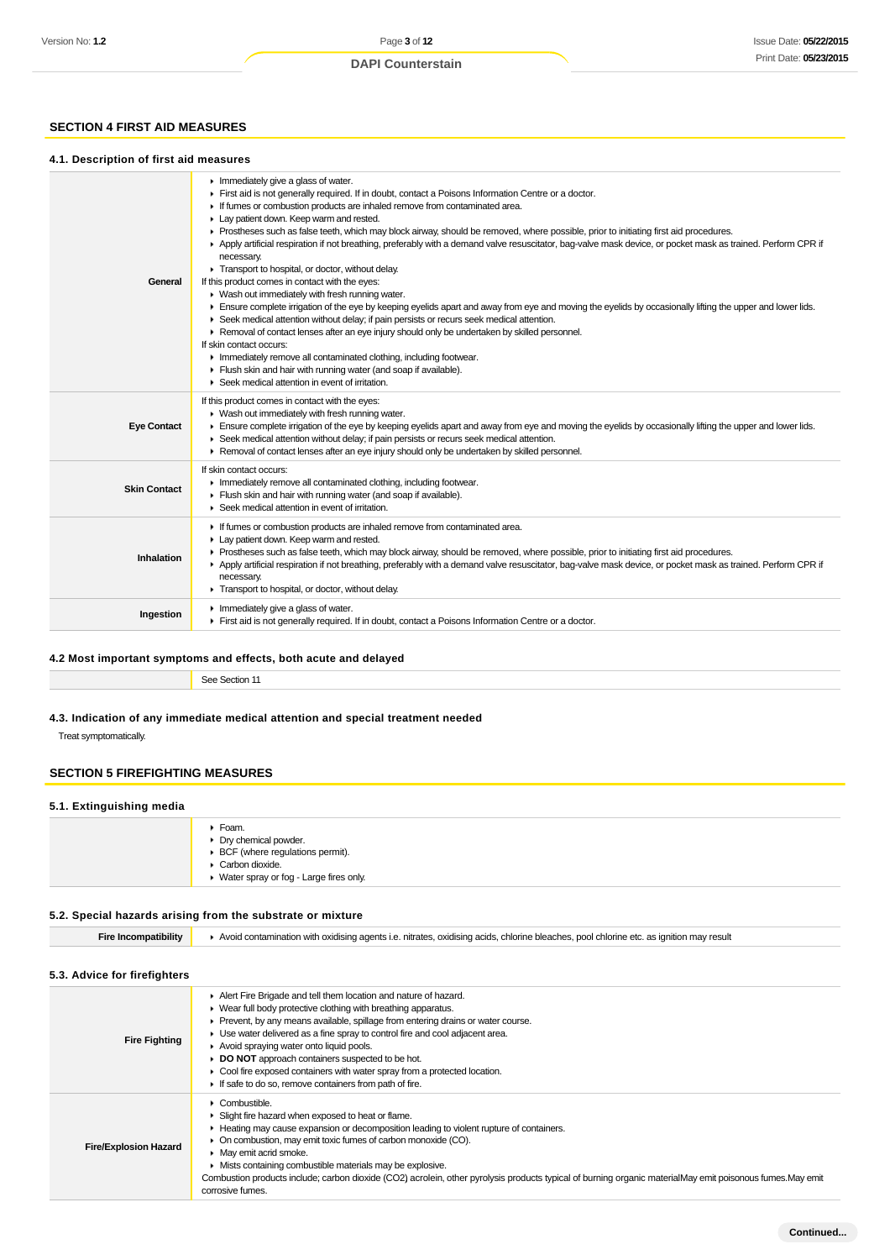#### **4.1. Description of first aid measures**

**SECTION 4 FIRST AID MEASURES**

| General             | Inmediately give a glass of water.<br>First aid is not generally required. If in doubt, contact a Poisons Information Centre or a doctor.<br>If fumes or combustion products are inhaled remove from contaminated area.<br>Lay patient down. Keep warm and rested.<br>Prostheses such as false teeth, which may block airway, should be removed, where possible, prior to initiating first aid procedures.<br>Apply artificial respiration if not breathing, preferably with a demand valve resuscitator, bag-valve mask device, or pocket mask as trained. Perform CPR if<br>necessary.<br>Transport to hospital, or doctor, without delay.<br>If this product comes in contact with the eyes:<br>▶ Wash out immediately with fresh running water.<br>Ensure complete irrigation of the eye by keeping eyelids apart and away from eye and moving the eyelids by occasionally lifting the upper and lower lids.<br>Seek medical attention without delay; if pain persists or recurs seek medical attention.<br>▶ Removal of contact lenses after an eye injury should only be undertaken by skilled personnel.<br>If skin contact occurs:<br>Inmediately remove all contaminated clothing, including footwear.<br>Flush skin and hair with running water (and soap if available).<br>Seek medical attention in event of irritation. |
|---------------------|--------------------------------------------------------------------------------------------------------------------------------------------------------------------------------------------------------------------------------------------------------------------------------------------------------------------------------------------------------------------------------------------------------------------------------------------------------------------------------------------------------------------------------------------------------------------------------------------------------------------------------------------------------------------------------------------------------------------------------------------------------------------------------------------------------------------------------------------------------------------------------------------------------------------------------------------------------------------------------------------------------------------------------------------------------------------------------------------------------------------------------------------------------------------------------------------------------------------------------------------------------------------------------------------------------------------------------------|
| <b>Eye Contact</b>  | If this product comes in contact with the eyes:<br>▶ Wash out immediately with fresh running water.<br>Ensure complete irrigation of the eye by keeping eyelids apart and away from eye and moving the eyelids by occasionally lifting the upper and lower lids.<br>▶ Seek medical attention without delay; if pain persists or recurs seek medical attention.<br>► Removal of contact lenses after an eye injury should only be undertaken by skilled personnel.                                                                                                                                                                                                                                                                                                                                                                                                                                                                                                                                                                                                                                                                                                                                                                                                                                                                    |
| <b>Skin Contact</b> | If skin contact occurs:<br>Inmediately remove all contaminated clothing, including footwear.<br>Flush skin and hair with running water (and soap if available).<br>Seek medical attention in event of irritation.                                                                                                                                                                                                                                                                                                                                                                                                                                                                                                                                                                                                                                                                                                                                                                                                                                                                                                                                                                                                                                                                                                                    |
| Inhalation          | If fumes or combustion products are inhaled remove from contaminated area.<br>Lay patient down. Keep warm and rested.<br>Prostheses such as false teeth, which may block airway, should be removed, where possible, prior to initiating first aid procedures.<br>Apply artificial respiration if not breathing, preferably with a demand valve resuscitator, bag-valve mask device, or pocket mask as trained. Perform CPR if<br>necessary.<br>Transport to hospital, or doctor, without delay.                                                                                                                                                                                                                                                                                                                                                                                                                                                                                                                                                                                                                                                                                                                                                                                                                                      |
| Ingestion           | $\blacktriangleright$ Immediately give a glass of water.<br>First aid is not generally required. If in doubt, contact a Poisons Information Centre or a doctor.                                                                                                                                                                                                                                                                                                                                                                                                                                                                                                                                                                                                                                                                                                                                                                                                                                                                                                                                                                                                                                                                                                                                                                      |
|                     |                                                                                                                                                                                                                                                                                                                                                                                                                                                                                                                                                                                                                                                                                                                                                                                                                                                                                                                                                                                                                                                                                                                                                                                                                                                                                                                                      |

#### **4.2 Most important symptoms and effects, both acute and delayed**

See Section 11

corrosive fumes.

## **4.3. Indication of any immediate medical attention and special treatment needed**

Treat symptomatically.

## **SECTION 5 FIREFIGHTING MEASURES**

#### **5.1. Extinguishing media**

| ▶ Foam.<br>• Dry chemical powder.<br>▶ BCF (where regulations permit).<br>Carbon dioxide.<br>▶ Water spray or fog - Large fires only. |
|---------------------------------------------------------------------------------------------------------------------------------------|
|---------------------------------------------------------------------------------------------------------------------------------------|

| 5.2. Special hazards arising from the substrate or mixture |                                                                                                                                                                                                                                                                                                                                                                                                                                                                                                                                               |  |  |  |
|------------------------------------------------------------|-----------------------------------------------------------------------------------------------------------------------------------------------------------------------------------------------------------------------------------------------------------------------------------------------------------------------------------------------------------------------------------------------------------------------------------------------------------------------------------------------------------------------------------------------|--|--|--|
| <b>Fire Incompatibility</b>                                | Avoid contamination with oxidising agents i.e. nitrates, oxidising acids, chlorine bleaches, pool chlorine etc. as ignition may result                                                                                                                                                                                                                                                                                                                                                                                                        |  |  |  |
| 5.3. Advice for firefighters                               |                                                                                                                                                                                                                                                                                                                                                                                                                                                                                                                                               |  |  |  |
| <b>Fire Fighting</b>                                       | Alert Fire Brigade and tell them location and nature of hazard.<br>▶ Wear full body protective clothing with breathing apparatus.<br>• Prevent, by any means available, spillage from entering drains or water course.<br>► Use water delivered as a fine spray to control fire and cool adjacent area.<br>Avoid spraying water onto liquid pools.<br>DO NOT approach containers suspected to be hot.<br>► Cool fire exposed containers with water spray from a protected location.<br>If safe to do so, remove containers from path of fire. |  |  |  |
| <b>Fire/Explosion Hazard</b>                               | • Combustible.<br>Slight fire hazard when exposed to heat or flame.<br>► Heating may cause expansion or decomposition leading to violent rupture of containers.<br>• On combustion, may emit toxic fumes of carbon monoxide (CO).<br>May emit acrid smoke.<br>▶ Mists containing combustible materials may be explosive.                                                                                                                                                                                                                      |  |  |  |

Combustion products include; carbon dioxide (CO2) acrolein, other pyrolysis products typical of burning organic materialMay emit poisonous fumes.May emit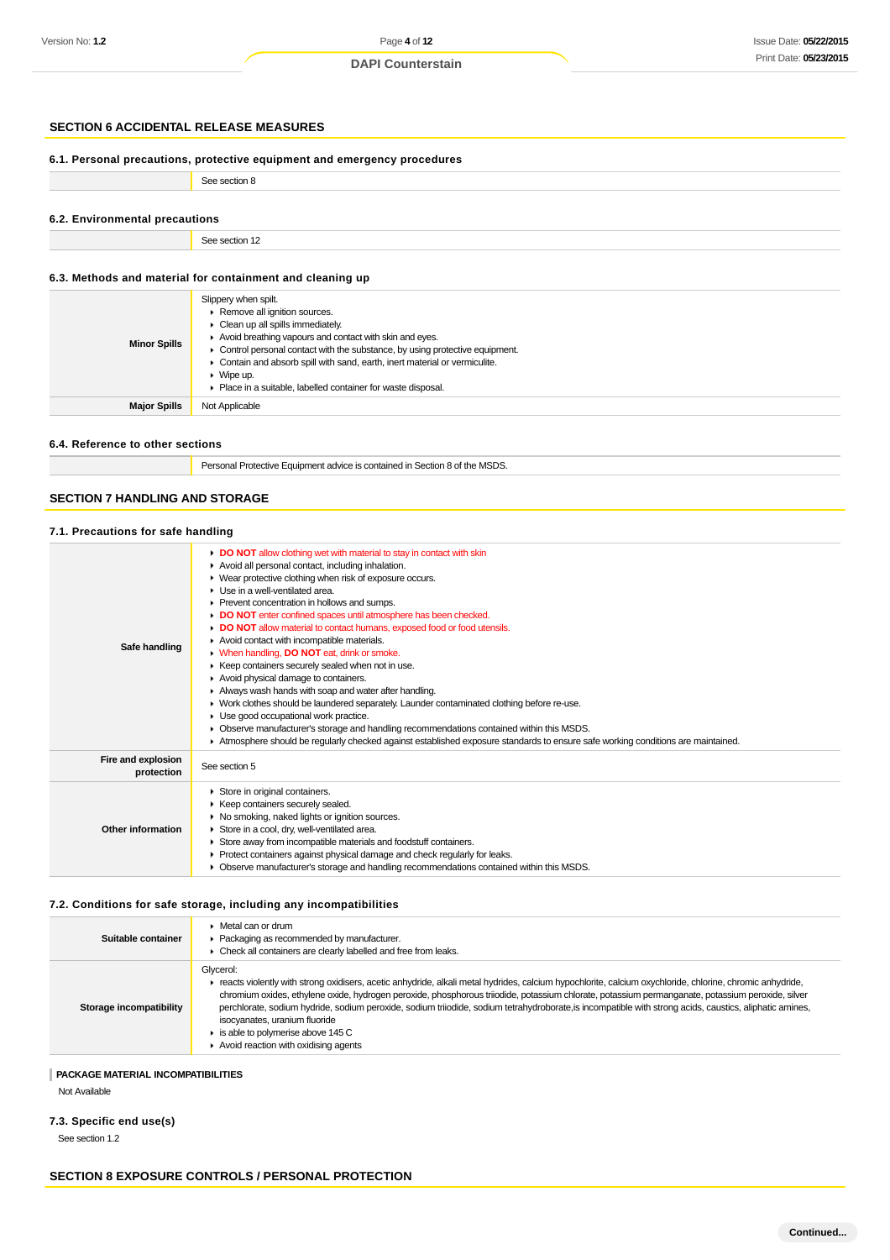## **SECTION 6 ACCIDENTAL RELEASE MEASURES**

| 6.1. Personal precautions, protective equipment and emergency procedures |                                                                                                                                                                                                                                                                                                                                           |  |  |
|--------------------------------------------------------------------------|-------------------------------------------------------------------------------------------------------------------------------------------------------------------------------------------------------------------------------------------------------------------------------------------------------------------------------------------|--|--|
|                                                                          | See section 8                                                                                                                                                                                                                                                                                                                             |  |  |
| 6.2. Environmental precautions                                           |                                                                                                                                                                                                                                                                                                                                           |  |  |
|                                                                          | See section 12                                                                                                                                                                                                                                                                                                                            |  |  |
|                                                                          | 6.3. Methods and material for containment and cleaning up                                                                                                                                                                                                                                                                                 |  |  |
| <b>Minor Spills</b>                                                      | Slippery when spilt.<br>Remove all ignition sources.<br>• Clean up all spills immediately.<br>Avoid breathing vapours and contact with skin and eyes.<br>• Control personal contact with the substance, by using protective equipment.<br>Contain and absorb spill with sand, earth, inert material or vermiculite.<br>$\bullet$ Wipe up. |  |  |

#### **6.4. Reference to other sections**

Personal Protective Equipment advice is contained in Section 8 of the MSDS.

Place in a suitable, labelled container for waste disposal.

## **SECTION 7 HANDLING AND STORAGE**

**Major Spills** Not Applicable

## **7.1. Precautions for safe handling**

| Safe handling                    | DO NOT allow clothing wet with material to stay in contact with skin<br>Avoid all personal contact, including inhalation.<br>▶ Wear protective clothing when risk of exposure occurs.<br>Use in a well-ventilated area.<br>Prevent concentration in hollows and sumps.<br>DO NOT enter confined spaces until atmosphere has been checked.<br>• DO NOT allow material to contact humans, exposed food or food utensils.<br>Avoid contact with incompatible materials.<br>• When handling, DO NOT eat, drink or smoke.<br>▶ Keep containers securely sealed when not in use.<br>Avoid physical damage to containers.<br>Always wash hands with soap and water after handling.<br>▶ Work clothes should be laundered separately. Launder contaminated clothing before re-use.<br>Use good occupational work practice.<br>• Observe manufacturer's storage and handling recommendations contained within this MSDS.<br>Atmosphere should be regularly checked against established exposure standards to ensure safe working conditions are maintained. |
|----------------------------------|----------------------------------------------------------------------------------------------------------------------------------------------------------------------------------------------------------------------------------------------------------------------------------------------------------------------------------------------------------------------------------------------------------------------------------------------------------------------------------------------------------------------------------------------------------------------------------------------------------------------------------------------------------------------------------------------------------------------------------------------------------------------------------------------------------------------------------------------------------------------------------------------------------------------------------------------------------------------------------------------------------------------------------------------------|
| Fire and explosion<br>protection | See section 5                                                                                                                                                                                                                                                                                                                                                                                                                                                                                                                                                                                                                                                                                                                                                                                                                                                                                                                                                                                                                                      |
| Other information                | Store in original containers.<br>▶ Keep containers securely sealed.<br>▶ No smoking, naked lights or ignition sources.<br>Store in a cool, dry, well-ventilated area.<br>Store away from incompatible materials and foodstuff containers.<br>▶ Protect containers against physical damage and check regularly for leaks.<br>• Observe manufacturer's storage and handling recommendations contained within this MSDS.                                                                                                                                                                                                                                                                                                                                                                                                                                                                                                                                                                                                                              |

## **7.2. Conditions for safe storage, including any incompatibilities**

| Suitable container      | ▶ Metal can or drum<br>• Packaging as recommended by manufacturer.<br>Check all containers are clearly labelled and free from leaks.                                                                                                                                                                                                                                                                                                                                                                                                                                                                |
|-------------------------|-----------------------------------------------------------------------------------------------------------------------------------------------------------------------------------------------------------------------------------------------------------------------------------------------------------------------------------------------------------------------------------------------------------------------------------------------------------------------------------------------------------------------------------------------------------------------------------------------------|
| Storage incompatibility | Glycerol:<br>reacts violently with strong oxidisers, acetic anhydride, alkali metal hydrides, calcium hypochlorite, calcium oxychloride, chlorine, chromic anhydride,<br>chromium oxides, ethylene oxide, hydrogen peroxide, phosphorous triiodide, potassium chlorate, potassium permanganate, potassium peroxide, silver<br>perchlorate, sodium hydride, sodium peroxide, sodium triiodide, sodium tetrahydroborate, is incompatible with strong acids, caustics, aliphatic amines,<br>isocyanates, uranium fluoride<br>is able to polymerise above 145 C<br>Avoid reaction with oxidising agents |

#### **PACKAGE MATERIAL INCOMPATIBILITIES**

Not Available

## **7.3. Specific end use(s)**

See section 1.2

## **SECTION 8 EXPOSURE CONTROLS / PERSONAL PROTECTION**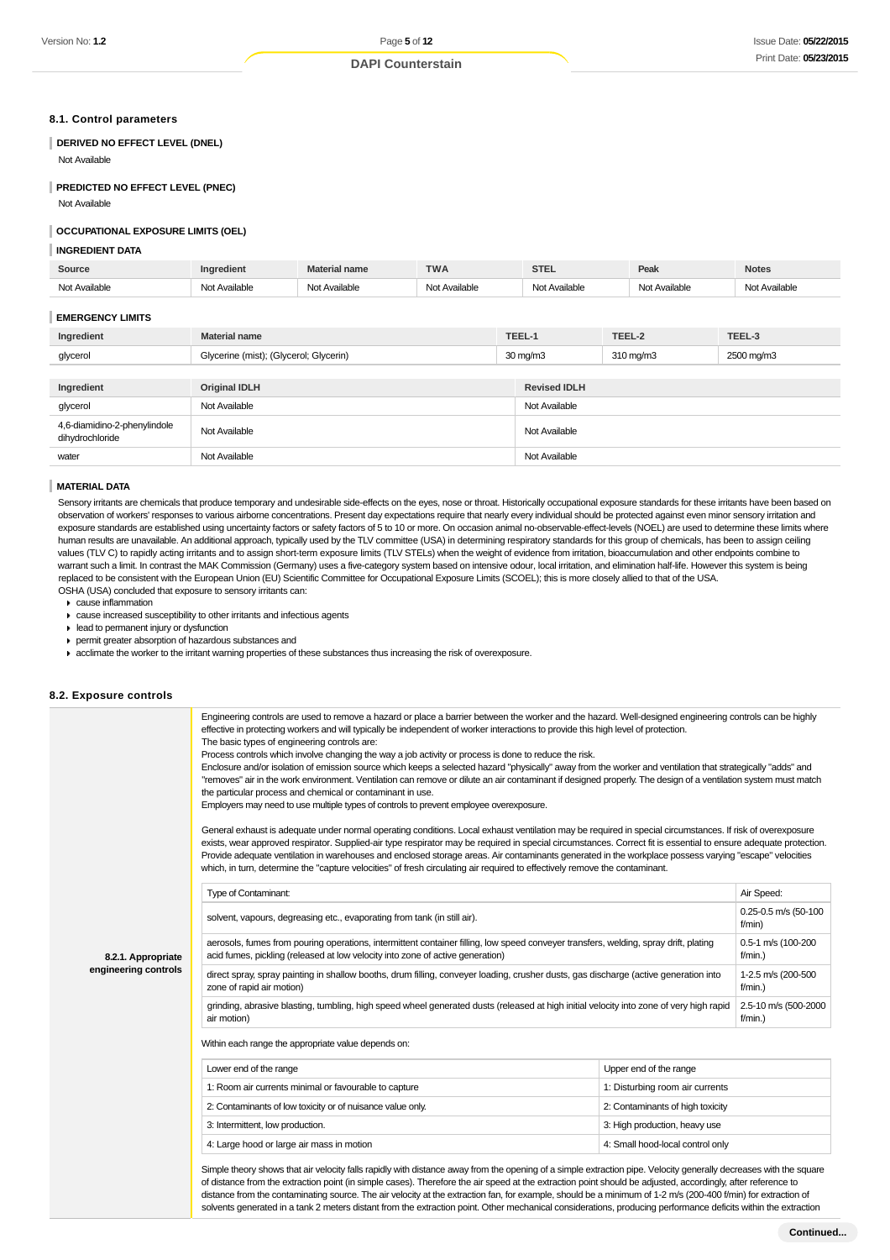#### **8.1. Control parameters**

## **DERIVED NO EFFECT LEVEL (DNEL)**

Not Available

#### **PREDICTED NO EFFECT LEVEL (PNEC)**

Not Available

#### **OCCUPATIONAL EXPOSURE LIMITS (OEL)**

#### **INGREDIENT DATA**

| Source                  | Ingredient                             | <b>Material name</b> | <b>TWA</b>    |        | <b>STEL</b>          | Peak                  | <b>Notes</b>  |
|-------------------------|----------------------------------------|----------------------|---------------|--------|----------------------|-----------------------|---------------|
| Not Available           | Not Available                          | Not Available        | Not Available |        | Not Available        | Not Available         | Not Available |
| <b>EMERGENCY LIMITS</b> |                                        |                      |               |        |                      |                       |               |
| Ingredient              | <b>Material name</b>                   |                      |               | TEEL-1 |                      | TEEL-2                | TEEL-3        |
| glycerol                | Glycerine (mist); (Glycerol; Glycerin) |                      |               |        | $30 \text{ mg/m}$    | $310 \,\mathrm{mq/m}$ | 2500 mg/m3    |
|                         |                                        |                      |               |        |                      |                       |               |
| Ingradiant              | Original IDI H                         |                      |               |        | <b>Revised IDI H</b> |                       |               |

| Ingredient                                      | <b>Original IDLH</b> | <b>Revised IDLH</b> |
|-------------------------------------------------|----------------------|---------------------|
| glycerol                                        | Not Available        | Not Available       |
| 4,6-diamidino-2-phenylindole<br>dihydrochloride | Not Available        | Not Available       |
| water                                           | Not Available        | Not Available       |

#### **MATERIAL DATA**

Sensory irritants are chemicals that produce temporary and undesirable side-effects on the eyes, nose or throat. Historically occupational exposure standards for these irritants have been based on observation of workers' responses to various airborne concentrations. Present day expectations require that nearly every individual should be protected against even minor sensory irritation and exposure standards are established using uncertainty factors or safety factors of 5 to 10 or more. On occasion animal no-observable-effect-levels (NOEL) are used to determine these limits where human results are unavailable. An additional approach, typically used by the TLV committee (USA) in determining respiratory standards for this group of chemicals, has been to assign ceiling values (TLV C) to rapidly acting irritants and to assign short-term exposure limits (TLV STELs) when the weight of evidence from irritation, bioaccumulation and other endpoints combine to warrant such a limit. In contrast the MAK Commission (Germany) uses a five-category system based on intensive odour, local irritation, and elimination half-life. However this system is being replaced to be consistent with the European Union (EU) Scientific Committee for Occupational Exposure Limits (SCOEL); this is more closely allied to that of the USA. OSHA (USA) concluded that exposure to sensory irritants can:

- cause inflammation
- cause increased susceptibility to other irritants and infectious agents
- lead to permanent injury or dysfunction
- permit greater absorption of hazardous substances and
- acclimate the worker to the irritant warning properties of these substances thus increasing the risk of overexposure.

#### **8.2. Exposure controls**

|                      | Engineering controls are used to remove a hazard or place a barrier between the worker and the hazard. Well-designed engineering controls can be highly<br>effective in protecting workers and will typically be independent of worker interactions to provide this high level of protection.<br>The basic types of engineering controls are:<br>Process controls which involve changing the way a job activity or process is done to reduce the risk.<br>Enclosure and/or isolation of emission source which keeps a selected hazard "physically" away from the worker and ventilation that strategically "adds" and<br>"removes" air in the work environment. Ventilation can remove or dilute an air contaminant if designed properly. The design of a ventilation system must match<br>the particular process and chemical or contaminant in use.<br>Employers may need to use multiple types of controls to prevent employee overexposure.<br>General exhaust is adequate under normal operating conditions. Local exhaust ventilation may be required in special circumstances. If risk of overexposure |                                  |            |  |  |
|----------------------|---------------------------------------------------------------------------------------------------------------------------------------------------------------------------------------------------------------------------------------------------------------------------------------------------------------------------------------------------------------------------------------------------------------------------------------------------------------------------------------------------------------------------------------------------------------------------------------------------------------------------------------------------------------------------------------------------------------------------------------------------------------------------------------------------------------------------------------------------------------------------------------------------------------------------------------------------------------------------------------------------------------------------------------------------------------------------------------------------------------|----------------------------------|------------|--|--|
|                      | exists, wear approved respirator. Supplied-air type respirator may be required in special circumstances. Correct fit is essential to ensure adequate protection.<br>Provide adequate ventilation in warehouses and enclosed storage areas. Air contaminants generated in the workplace possess varying "escape" velocities                                                                                                                                                                                                                                                                                                                                                                                                                                                                                                                                                                                                                                                                                                                                                                                    |                                  |            |  |  |
|                      | which, in turn, determine the "capture velocities" of fresh circulating air required to effectively remove the contaminant.                                                                                                                                                                                                                                                                                                                                                                                                                                                                                                                                                                                                                                                                                                                                                                                                                                                                                                                                                                                   |                                  |            |  |  |
|                      | Type of Contaminant:                                                                                                                                                                                                                                                                                                                                                                                                                                                                                                                                                                                                                                                                                                                                                                                                                                                                                                                                                                                                                                                                                          |                                  | Air Speed: |  |  |
|                      | solvent, vapours, degreasing etc., evaporating from tank (in still air).                                                                                                                                                                                                                                                                                                                                                                                                                                                                                                                                                                                                                                                                                                                                                                                                                                                                                                                                                                                                                                      |                                  |            |  |  |
| 8.2.1. Appropriate   | aerosols, fumes from pouring operations, intermittent container filling, low speed conveyer transfers, welding, spray drift, plating<br>acid fumes, pickling (released at low velocity into zone of active generation)                                                                                                                                                                                                                                                                                                                                                                                                                                                                                                                                                                                                                                                                                                                                                                                                                                                                                        |                                  |            |  |  |
| engineering controls | direct spray, spray painting in shallow booths, drum filling, conveyer loading, crusher dusts, gas discharge (active generation into<br>zone of rapid air motion)                                                                                                                                                                                                                                                                                                                                                                                                                                                                                                                                                                                                                                                                                                                                                                                                                                                                                                                                             |                                  |            |  |  |
|                      | grinding, abrasive blasting, tumbling, high speed wheel generated dusts (released at high initial velocity into zone of very high rapid<br>air motion)                                                                                                                                                                                                                                                                                                                                                                                                                                                                                                                                                                                                                                                                                                                                                                                                                                                                                                                                                        |                                  |            |  |  |
|                      | Within each range the appropriate value depends on:                                                                                                                                                                                                                                                                                                                                                                                                                                                                                                                                                                                                                                                                                                                                                                                                                                                                                                                                                                                                                                                           |                                  |            |  |  |
|                      | Lower end of the range                                                                                                                                                                                                                                                                                                                                                                                                                                                                                                                                                                                                                                                                                                                                                                                                                                                                                                                                                                                                                                                                                        | Upper end of the range           |            |  |  |
|                      | 1: Room air currents minimal or favourable to capture                                                                                                                                                                                                                                                                                                                                                                                                                                                                                                                                                                                                                                                                                                                                                                                                                                                                                                                                                                                                                                                         | 1: Disturbing room air currents  |            |  |  |
|                      | 2: Contaminants of low toxicity or of nuisance value only.                                                                                                                                                                                                                                                                                                                                                                                                                                                                                                                                                                                                                                                                                                                                                                                                                                                                                                                                                                                                                                                    | 2: Contaminants of high toxicity |            |  |  |
|                      | 3: Intermittent, low production.                                                                                                                                                                                                                                                                                                                                                                                                                                                                                                                                                                                                                                                                                                                                                                                                                                                                                                                                                                                                                                                                              | 3: High production, heavy use    |            |  |  |
|                      | 4: Large hood or large air mass in motion                                                                                                                                                                                                                                                                                                                                                                                                                                                                                                                                                                                                                                                                                                                                                                                                                                                                                                                                                                                                                                                                     | 4: Small hood-local control only |            |  |  |

solvents generated in a tank 2 meters distant from the extraction point. Other mechanical considerations, producing performance deficits within the extraction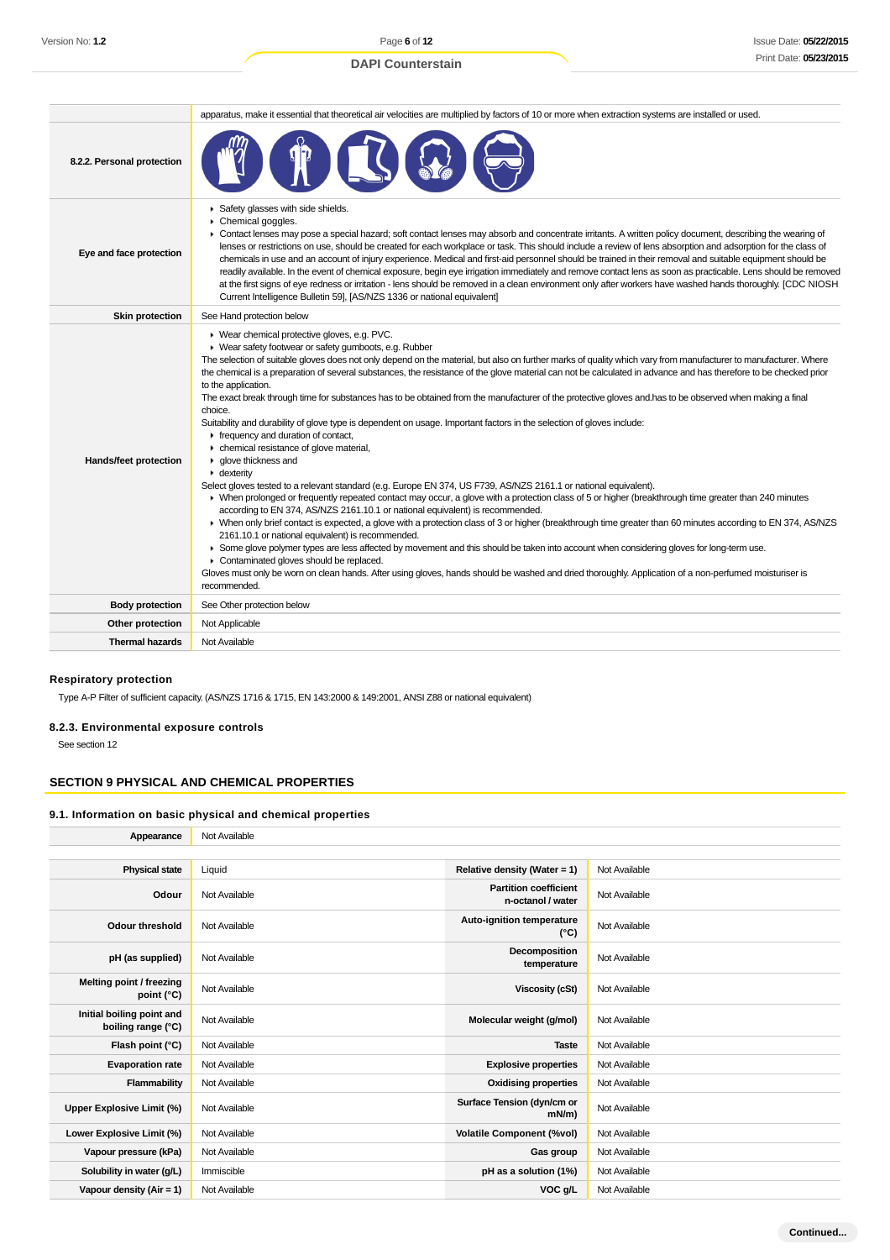## **DAPI Counterstain**

|                            | apparatus, make it essential that theoretical air velocities are multiplied by factors of 10 or more when extraction systems are installed or used.                                                                                                                                                                                                                                                                                                                                                                                                                                                                                                                                                                                                                                                                                                                                                                                                                                                                                                                                                                                                                                                                                                                                                                                                                                                                                                                                                                                                                                                                                                                                                                                                                                                                                                 |  |  |  |  |
|----------------------------|-----------------------------------------------------------------------------------------------------------------------------------------------------------------------------------------------------------------------------------------------------------------------------------------------------------------------------------------------------------------------------------------------------------------------------------------------------------------------------------------------------------------------------------------------------------------------------------------------------------------------------------------------------------------------------------------------------------------------------------------------------------------------------------------------------------------------------------------------------------------------------------------------------------------------------------------------------------------------------------------------------------------------------------------------------------------------------------------------------------------------------------------------------------------------------------------------------------------------------------------------------------------------------------------------------------------------------------------------------------------------------------------------------------------------------------------------------------------------------------------------------------------------------------------------------------------------------------------------------------------------------------------------------------------------------------------------------------------------------------------------------------------------------------------------------------------------------------------------------|--|--|--|--|
| 8.2.2. Personal protection |                                                                                                                                                                                                                                                                                                                                                                                                                                                                                                                                                                                                                                                                                                                                                                                                                                                                                                                                                                                                                                                                                                                                                                                                                                                                                                                                                                                                                                                                                                                                                                                                                                                                                                                                                                                                                                                     |  |  |  |  |
| Eye and face protection    | Safety glasses with side shields.<br>Chemical goggles.<br>▶ Contact lenses may pose a special hazard; soft contact lenses may absorb and concentrate irritants. A written policy document, describing the wearing of<br>lenses or restrictions on use, should be created for each workplace or task. This should include a review of lens absorption and adsorption for the class of<br>chemicals in use and an account of injury experience. Medical and first-aid personnel should be trained in their removal and suitable equipment should be<br>readily available. In the event of chemical exposure, begin eye irrigation immediately and remove contact lens as soon as practicable. Lens should be removed<br>at the first signs of eye redness or irritation - lens should be removed in a clean environment only after workers have washed hands thoroughly. [CDC NIOSH<br>Current Intelligence Bulletin 59], [AS/NZS 1336 or national equivalent]                                                                                                                                                                                                                                                                                                                                                                                                                                                                                                                                                                                                                                                                                                                                                                                                                                                                                        |  |  |  |  |
| <b>Skin protection</b>     | See Hand protection below                                                                                                                                                                                                                                                                                                                                                                                                                                                                                                                                                                                                                                                                                                                                                                                                                                                                                                                                                                                                                                                                                                                                                                                                                                                                                                                                                                                                                                                                                                                                                                                                                                                                                                                                                                                                                           |  |  |  |  |
| Hands/feet protection      | ▶ Wear chemical protective gloves, e.g. PVC.<br>▶ Wear safety footwear or safety gumboots, e.g. Rubber<br>The selection of suitable gloves does not only depend on the material, but also on further marks of quality which vary from manufacturer to manufacturer. Where<br>the chemical is a preparation of several substances, the resistance of the glove material can not be calculated in advance and has therefore to be checked prior<br>to the application.<br>The exact break through time for substances has to be obtained from the manufacturer of the protective gloves and has to be observed when making a final<br>choice.<br>Suitability and durability of glove type is dependent on usage. Important factors in the selection of gloves include:<br>Frequency and duration of contact,<br>• chemical resistance of glove material,<br>• glove thickness and<br>• dexterity<br>Select gloves tested to a relevant standard (e.g. Europe EN 374, US F739, AS/NZS 2161.1 or national equivalent).<br>• When prolonged or frequently repeated contact may occur, a glove with a protection class of 5 or higher (breakthrough time greater than 240 minutes<br>according to EN 374, AS/NZS 2161.10.1 or national equivalent) is recommended.<br>> When only brief contact is expected, a glove with a protection class of 3 or higher (breakthrough time greater than 60 minutes according to EN 374, AS/NZS<br>2161.10.1 or national equivalent) is recommended.<br>• Some glove polymer types are less affected by movement and this should be taken into account when considering gloves for long-term use.<br>Contaminated gloves should be replaced.<br>Gloves must only be worn on clean hands. After using gloves, hands should be washed and dried thoroughly. Application of a non-perfumed moisturiser is<br>recommended. |  |  |  |  |
| <b>Body protection</b>     | See Other protection below                                                                                                                                                                                                                                                                                                                                                                                                                                                                                                                                                                                                                                                                                                                                                                                                                                                                                                                                                                                                                                                                                                                                                                                                                                                                                                                                                                                                                                                                                                                                                                                                                                                                                                                                                                                                                          |  |  |  |  |
| Other protection           | Not Applicable                                                                                                                                                                                                                                                                                                                                                                                                                                                                                                                                                                                                                                                                                                                                                                                                                                                                                                                                                                                                                                                                                                                                                                                                                                                                                                                                                                                                                                                                                                                                                                                                                                                                                                                                                                                                                                      |  |  |  |  |
| <b>Thermal hazards</b>     | Not Available                                                                                                                                                                                                                                                                                                                                                                                                                                                                                                                                                                                                                                                                                                                                                                                                                                                                                                                                                                                                                                                                                                                                                                                                                                                                                                                                                                                                                                                                                                                                                                                                                                                                                                                                                                                                                                       |  |  |  |  |

## **Respiratory protection**

Type A-P Filter of sufficient capacity. (AS/NZS 1716 & 1715, EN 143:2000 & 149:2001, ANSI Z88 or national equivalent)

## **8.2.3. Environmental exposure controls**

See section 12

## **SECTION 9 PHYSICAL AND CHEMICAL PROPERTIES**

#### **9.1. Information on basic physical and chemical properties**

**Appearance** Not Available

| <b>Physical state</b>                           | Liquid        | Relative density (Water = 1)                      | Not Available |
|-------------------------------------------------|---------------|---------------------------------------------------|---------------|
| Odour                                           | Not Available | <b>Partition coefficient</b><br>n-octanol / water | Not Available |
| <b>Odour threshold</b>                          | Not Available | Auto-ignition temperature<br>(°C)                 | Not Available |
| pH (as supplied)                                | Not Available | Decomposition<br>temperature                      | Not Available |
| Melting point / freezing<br>point (°C)          | Not Available | Viscosity (cSt)                                   | Not Available |
| Initial boiling point and<br>boiling range (°C) | Not Available | Molecular weight (g/mol)                          | Not Available |
| Flash point (°C)                                | Not Available | <b>Taste</b>                                      | Not Available |
| <b>Evaporation rate</b>                         | Not Available | <b>Explosive properties</b>                       | Not Available |
| Flammability                                    | Not Available | <b>Oxidising properties</b>                       | Not Available |
| <b>Upper Explosive Limit (%)</b>                | Not Available | Surface Tension (dyn/cm or<br>$mN/m$ )            | Not Available |
| Lower Explosive Limit (%)                       | Not Available | <b>Volatile Component (%vol)</b>                  | Not Available |
| Vapour pressure (kPa)                           | Not Available | Gas group                                         | Not Available |
| Solubility in water (g/L)                       | Immiscible    | pH as a solution (1%)                             | Not Available |
| Vapour density ( $Air = 1$ )                    | Not Available | VOC g/L                                           | Not Available |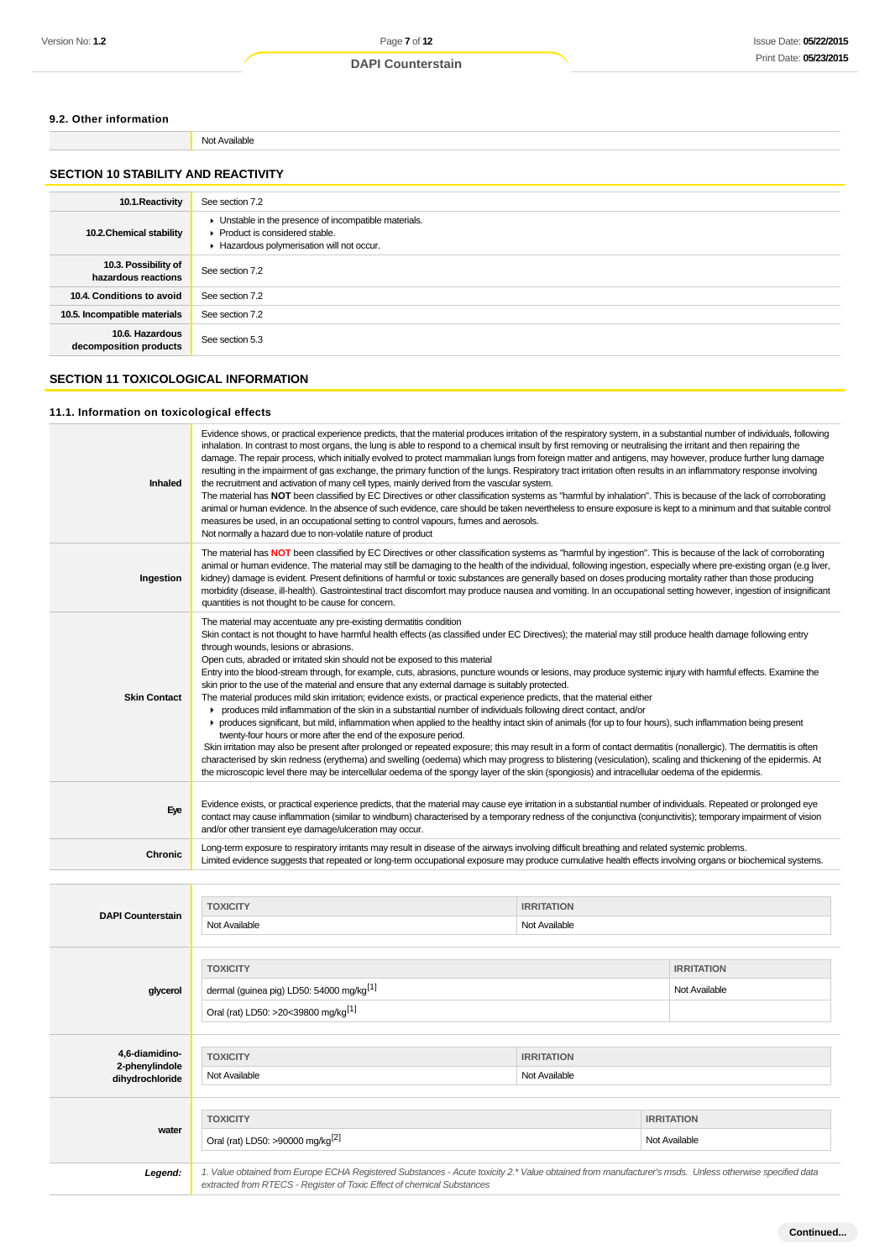#### **9.2. Other information**

Not Available

## **SECTION 10 STABILITY AND REACTIVITY**

| 10.1. Reactivity                            | See section 7.2                                                                                                                    |
|---------------------------------------------|------------------------------------------------------------------------------------------------------------------------------------|
| 10.2. Chemical stability                    | • Unstable in the presence of incompatible materials.<br>Product is considered stable.<br>Hazardous polymerisation will not occur. |
| 10.3. Possibility of<br>hazardous reactions | See section 7.2                                                                                                                    |
| 10.4. Conditions to avoid                   | See section 7.2                                                                                                                    |
| 10.5. Incompatible materials                | See section 7.2                                                                                                                    |
| 10.6. Hazardous<br>decomposition products   | See section 5.3                                                                                                                    |

## **SECTION 11 TOXICOLOGICAL INFORMATION**

#### **11.1. Information on toxicological effects**

| Inhaled                          | Evidence shows, or practical experience predicts, that the material produces irritation of the respiratory system, in a substantial number of individuals, following<br>inhalation. In contrast to most organs, the lung is able to respond to a chemical insult by first removing or neutralising the irritant and then repairing the<br>damage. The repair process, which initially evolved to protect mammalian lungs from foreign matter and antigens, may however, produce further lung damage<br>resulting in the impairment of gas exchange, the primary function of the lungs. Respiratory tract irritation often results in an inflammatory response involving<br>the recruitment and activation of many cell types, mainly derived from the vascular system.<br>The material has NOT been classified by EC Directives or other classification systems as "harmful by inhalation". This is because of the lack of corroborating<br>animal or human evidence. In the absence of such evidence, care should be taken nevertheless to ensure exposure is kept to a minimum and that suitable control<br>measures be used, in an occupational setting to control vapours, fumes and aerosols.<br>Not normally a hazard due to non-volatile nature of product                                                                                                                                                                                                                                                                                                                                  |                   |  |                   |  |
|----------------------------------|----------------------------------------------------------------------------------------------------------------------------------------------------------------------------------------------------------------------------------------------------------------------------------------------------------------------------------------------------------------------------------------------------------------------------------------------------------------------------------------------------------------------------------------------------------------------------------------------------------------------------------------------------------------------------------------------------------------------------------------------------------------------------------------------------------------------------------------------------------------------------------------------------------------------------------------------------------------------------------------------------------------------------------------------------------------------------------------------------------------------------------------------------------------------------------------------------------------------------------------------------------------------------------------------------------------------------------------------------------------------------------------------------------------------------------------------------------------------------------------------------------------------------------------------------------------------------------------------------|-------------------|--|-------------------|--|
| Ingestion                        | The material has NOT been classified by EC Directives or other classification systems as "harmful by ingestion". This is because of the lack of corroborating<br>animal or human evidence. The material may still be damaging to the health of the individual, following ingestion, especially where pre-existing organ (e.g liver,<br>kidney) damage is evident. Present definitions of harmful or toxic substances are generally based on doses producing mortality rather than those producing<br>morbidity (disease, ill-health). Gastrointestinal tract discomfort may produce nausea and vomiting. In an occupational setting however, ingestion of insignificant<br>quantities is not thought to be cause for concern.                                                                                                                                                                                                                                                                                                                                                                                                                                                                                                                                                                                                                                                                                                                                                                                                                                                                      |                   |  |                   |  |
| <b>Skin Contact</b>              | The material may accentuate any pre-existing dermatitis condition<br>Skin contact is not thought to have harmful health effects (as classified under EC Directives); the material may still produce health damage following entry<br>through wounds, lesions or abrasions.<br>Open cuts, abraded or irritated skin should not be exposed to this material<br>Entry into the blood-stream through, for example, cuts, abrasions, puncture wounds or lesions, may produce systemic injury with harmful effects. Examine the<br>skin prior to the use of the material and ensure that any external damage is suitably protected.<br>The material produces mild skin irritation; evidence exists, or practical experience predicts, that the material either<br>► produces mild inflammation of the skin in a substantial number of individuals following direct contact, and/or<br>• produces significant, but mild, inflammation when applied to the healthy intact skin of animals (for up to four hours), such inflammation being present<br>twenty-four hours or more after the end of the exposure period.<br>Skin irritation may also be present after prolonged or repeated exposure; this may result in a form of contact dermatitis (nonallergic). The dermatitis is often<br>characterised by skin redness (erythema) and swelling (oedema) which may progress to blistering (vesiculation), scaling and thickening of the epidermis. At<br>the microscopic level there may be intercellular oedema of the spongy layer of the skin (spongiosis) and intracellular oedema of the epidermis. |                   |  |                   |  |
| Eye                              | Evidence exists, or practical experience predicts, that the material may cause eye irritation in a substantial number of individuals. Repeated or prolonged eye<br>contact may cause inflammation (similar to windburn) characterised by a temporary redness of the conjunctiva (conjunctivitis); temporary impairment of vision<br>and/or other transient eye damage/ulceration may occur.                                                                                                                                                                                                                                                                                                                                                                                                                                                                                                                                                                                                                                                                                                                                                                                                                                                                                                                                                                                                                                                                                                                                                                                                        |                   |  |                   |  |
| Chronic                          | Long-term exposure to respiratory irritants may result in disease of the airways involving difficult breathing and related systemic problems.<br>Limited evidence suggests that repeated or long-term occupational exposure may produce cumulative health effects involving organs or biochemical systems.                                                                                                                                                                                                                                                                                                                                                                                                                                                                                                                                                                                                                                                                                                                                                                                                                                                                                                                                                                                                                                                                                                                                                                                                                                                                                         |                   |  |                   |  |
|                                  |                                                                                                                                                                                                                                                                                                                                                                                                                                                                                                                                                                                                                                                                                                                                                                                                                                                                                                                                                                                                                                                                                                                                                                                                                                                                                                                                                                                                                                                                                                                                                                                                    |                   |  |                   |  |
|                                  | <b>TOXICITY</b>                                                                                                                                                                                                                                                                                                                                                                                                                                                                                                                                                                                                                                                                                                                                                                                                                                                                                                                                                                                                                                                                                                                                                                                                                                                                                                                                                                                                                                                                                                                                                                                    | <b>IRRITATION</b> |  |                   |  |
| <b>DAPI Counterstain</b>         | Not Available                                                                                                                                                                                                                                                                                                                                                                                                                                                                                                                                                                                                                                                                                                                                                                                                                                                                                                                                                                                                                                                                                                                                                                                                                                                                                                                                                                                                                                                                                                                                                                                      | Not Available     |  |                   |  |
|                                  |                                                                                                                                                                                                                                                                                                                                                                                                                                                                                                                                                                                                                                                                                                                                                                                                                                                                                                                                                                                                                                                                                                                                                                                                                                                                                                                                                                                                                                                                                                                                                                                                    |                   |  |                   |  |
|                                  | <b>TOXICITY</b>                                                                                                                                                                                                                                                                                                                                                                                                                                                                                                                                                                                                                                                                                                                                                                                                                                                                                                                                                                                                                                                                                                                                                                                                                                                                                                                                                                                                                                                                                                                                                                                    |                   |  | <b>IRRITATION</b> |  |
| glycerol                         | dermal (guinea pig) LD50: 54000 mg/kg <sup>[1]</sup>                                                                                                                                                                                                                                                                                                                                                                                                                                                                                                                                                                                                                                                                                                                                                                                                                                                                                                                                                                                                                                                                                                                                                                                                                                                                                                                                                                                                                                                                                                                                               |                   |  | Not Available     |  |
|                                  | Oral (rat) LD50: >20<39800 mg/kg <sup>[1]</sup>                                                                                                                                                                                                                                                                                                                                                                                                                                                                                                                                                                                                                                                                                                                                                                                                                                                                                                                                                                                                                                                                                                                                                                                                                                                                                                                                                                                                                                                                                                                                                    |                   |  |                   |  |
|                                  |                                                                                                                                                                                                                                                                                                                                                                                                                                                                                                                                                                                                                                                                                                                                                                                                                                                                                                                                                                                                                                                                                                                                                                                                                                                                                                                                                                                                                                                                                                                                                                                                    |                   |  |                   |  |
| 4,6-diamidino-<br>2-phenylindole | <b>TOXICITY</b><br><b>IRRITATION</b>                                                                                                                                                                                                                                                                                                                                                                                                                                                                                                                                                                                                                                                                                                                                                                                                                                                                                                                                                                                                                                                                                                                                                                                                                                                                                                                                                                                                                                                                                                                                                               |                   |  |                   |  |
| dihydrochloride                  | Not Available                                                                                                                                                                                                                                                                                                                                                                                                                                                                                                                                                                                                                                                                                                                                                                                                                                                                                                                                                                                                                                                                                                                                                                                                                                                                                                                                                                                                                                                                                                                                                                                      | Not Available     |  |                   |  |
|                                  |                                                                                                                                                                                                                                                                                                                                                                                                                                                                                                                                                                                                                                                                                                                                                                                                                                                                                                                                                                                                                                                                                                                                                                                                                                                                                                                                                                                                                                                                                                                                                                                                    |                   |  |                   |  |
| water                            | <b>TOXICITY</b>                                                                                                                                                                                                                                                                                                                                                                                                                                                                                                                                                                                                                                                                                                                                                                                                                                                                                                                                                                                                                                                                                                                                                                                                                                                                                                                                                                                                                                                                                                                                                                                    |                   |  | <b>IRRITATION</b> |  |
|                                  |                                                                                                                                                                                                                                                                                                                                                                                                                                                                                                                                                                                                                                                                                                                                                                                                                                                                                                                                                                                                                                                                                                                                                                                                                                                                                                                                                                                                                                                                                                                                                                                                    |                   |  |                   |  |

| ıter | m<br>-14 |  |
|------|----------|--|
|      |          |  |

Legend: 1. Value obtained from Europe ECHA Registered Substances - Acute toxicity 2.\* Value obtained from manufacturer's msds. Unless otherwise specified data extracted from RTECS - Register of Toxic Effect of chemical Substances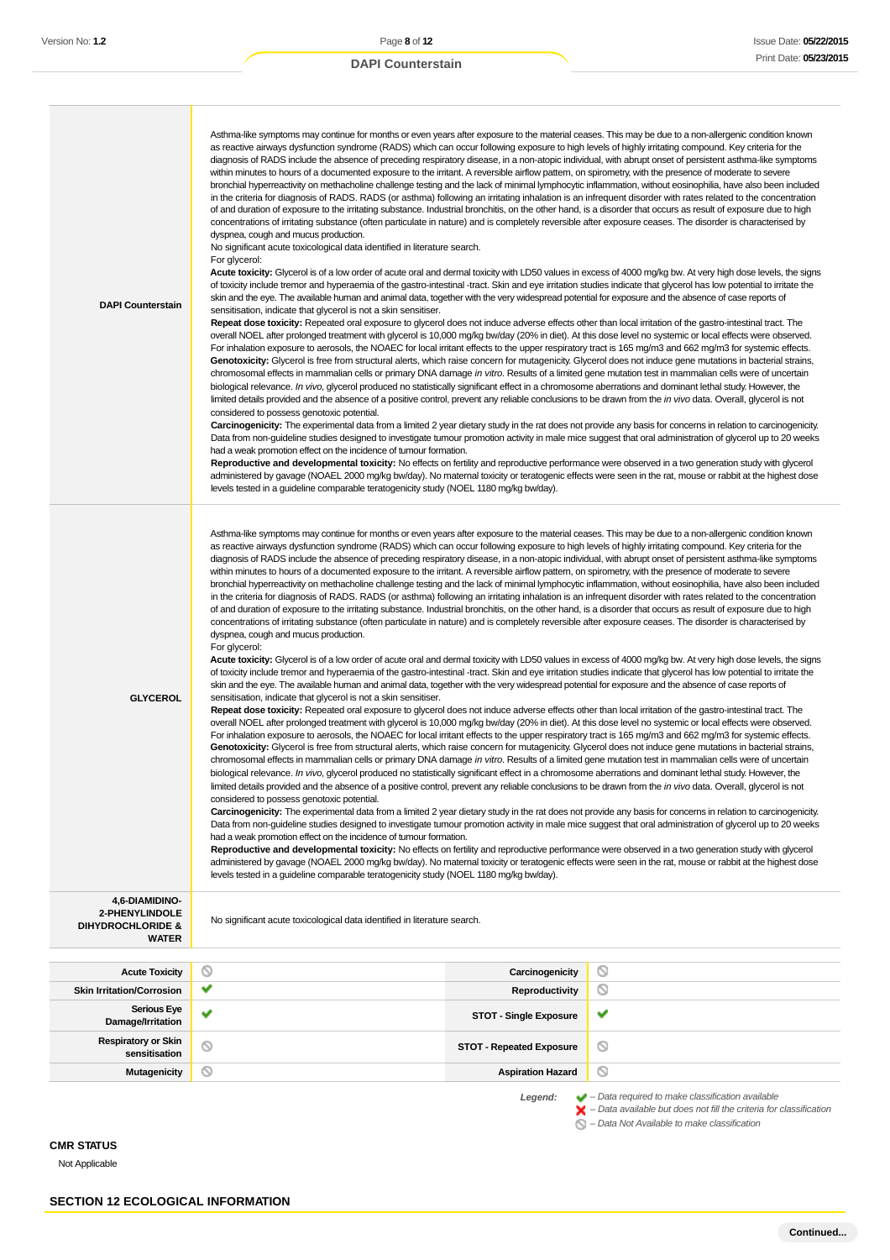| <b>DAPI Counterstain</b>                                                         | Asthma-like symptoms may continue for months or even years after exposure to the material ceases. This may be due to a non-allergenic condition known<br>as reactive airways dysfunction syndrome (RADS) which can occur following exposure to high levels of highly irritating compound. Key criteria for the<br>diagnosis of RADS include the absence of preceding respiratory disease, in a non-atopic individual, with abrupt onset of persistent asthma-like symptoms<br>within minutes to hours of a documented exposure to the irritant. A reversible airflow pattern, on spirometry, with the presence of moderate to severe<br>bronchial hyperreactivity on methacholine challenge testing and the lack of minimal lymphocytic inflammation, without eosinophilia, have also been included<br>in the criteria for diagnosis of RADS. RADS (or asthma) following an irritating inhalation is an infrequent disorder with rates related to the concentration<br>of and duration of exposure to the irritating substance. Industrial bronchitis, on the other hand, is a disorder that occurs as result of exposure due to high<br>concentrations of irritating substance (often particulate in nature) and is completely reversible after exposure ceases. The disorder is characterised by<br>dyspnea, cough and mucus production.<br>No significant acute toxicological data identified in literature search.<br>For glycerol:<br>Acute toxicity: Glycerol is of a low order of acute oral and dermal toxicity with LD50 values in excess of 4000 mg/kg bw. At very high dose levels, the signs<br>of toxicity include tremor and hyperaemia of the gastro-intestinal -tract. Skin and eye irritation studies indicate that glycerol has low potential to irritate the<br>skin and the eye. The available human and animal data, together with the very widespread potential for exposure and the absence of case reports of<br>sensitisation, indicate that glycerol is not a skin sensitiser.<br>Repeat dose toxicity: Repeated oral exposure to glycerol does not induce adverse effects other than local irritation of the gastro-intestinal tract. The<br>overall NOEL after prolonged treatment with glycerol is 10,000 mg/kg bw/day (20% in diet). At this dose level no systemic or local effects were observed.<br>For inhalation exposure to aerosols, the NOAEC for local irritant effects to the upper respiratory tract is 165 mg/m3 and 662 mg/m3 for systemic effects.<br>Genotoxicity: Glycerol is free from structural alerts, which raise concern for mutagenicity. Glycerol does not induce gene mutations in bacterial strains,<br>chromosomal effects in mammalian cells or primary DNA damage in vitro. Results of a limited gene mutation test in mammalian cells were of uncertain<br>biological relevance. In vivo, glycerol produced no statistically significant effect in a chromosome aberrations and dominant lethal study. However, the<br>limited details provided and the absence of a positive control, prevent any reliable conclusions to be drawn from the <i>in vivo</i> data. Overall, glycerol is not<br>considered to possess genotoxic potential.<br>Carcinogenicity: The experimental data from a limited 2 year dietary study in the rat does not provide any basis for concerns in relation to carcinogenicity.<br>Data from non-guideline studies designed to investigate tumour promotion activity in male mice suggest that oral administration of glycerol up to 20 weeks<br>had a weak promotion effect on the incidence of tumour formation.<br>Reproductive and developmental toxicity: No effects on fertility and reproductive performance were observed in a two generation study with glycerol<br>administered by gavage (NOAEL 2000 mg/kg bw/day). No maternal toxicity or teratogenic effects were seen in the rat, mouse or rabbit at the highest dose<br>levels tested in a guideline comparable teratogenicity study (NOEL 1180 mg/kg bw/day). |                                                                                                                                                                    |
|----------------------------------------------------------------------------------|----------------------------------------------------------------------------------------------------------------------------------------------------------------------------------------------------------------------------------------------------------------------------------------------------------------------------------------------------------------------------------------------------------------------------------------------------------------------------------------------------------------------------------------------------------------------------------------------------------------------------------------------------------------------------------------------------------------------------------------------------------------------------------------------------------------------------------------------------------------------------------------------------------------------------------------------------------------------------------------------------------------------------------------------------------------------------------------------------------------------------------------------------------------------------------------------------------------------------------------------------------------------------------------------------------------------------------------------------------------------------------------------------------------------------------------------------------------------------------------------------------------------------------------------------------------------------------------------------------------------------------------------------------------------------------------------------------------------------------------------------------------------------------------------------------------------------------------------------------------------------------------------------------------------------------------------------------------------------------------------------------------------------------------------------------------------------------------------------------------------------------------------------------------------------------------------------------------------------------------------------------------------------------------------------------------------------------------------------------------------------------------------------------------------------------------------------------------------------------------------------------------------------------------------------------------------------------------------------------------------------------------------------------------------------------------------------------------------------------------------------------------------------------------------------------------------------------------------------------------------------------------------------------------------------------------------------------------------------------------------------------------------------------------------------------------------------------------------------------------------------------------------------------------------------------------------------------------------------------------------------------------------------------------------------------------------------------------------------------------------------------------------------------------------------------------------------------------------------------------------------------------------------------------------------------------------------------------------------------------------------------------------------------------------------------------------------------------------------------------------------------------------------------------------------------------------------------------------------------------------------------------------------------------------------------------------------------------------------------------------------------------------|--------------------------------------------------------------------------------------------------------------------------------------------------------------------|
| <b>GLYCEROL</b>                                                                  | Asthma-like symptoms may continue for months or even years after exposure to the material ceases. This may be due to a non-allergenic condition known<br>as reactive airways dysfunction syndrome (RADS) which can occur following exposure to high levels of highly irritating compound. Key criteria for the<br>diagnosis of RADS include the absence of preceding respiratory disease, in a non-atopic individual, with abrupt onset of persistent asthma-like symptoms<br>within minutes to hours of a documented exposure to the irritant. A reversible airflow pattern, on spirometry, with the presence of moderate to severe<br>bronchial hyperreactivity on methacholine challenge testing and the lack of minimal lymphocytic inflammation, without eosinophilia, have also been included<br>in the criteria for diagnosis of RADS. RADS (or asthma) following an irritating inhalation is an infrequent disorder with rates related to the concentration<br>of and duration of exposure to the irritating substance. Industrial bronchitis, on the other hand, is a disorder that occurs as result of exposure due to high<br>concentrations of irritating substance (often particulate in nature) and is completely reversible after exposure ceases. The disorder is characterised by<br>dyspnea, cough and mucus production.<br>For glycerol:<br>Acute toxicity: Glycerol is of a low order of acute oral and dermal toxicity with LD50 values in excess of 4000 mg/kg bw. At very high dose levels, the signs<br>of toxicity include tremor and hyperaemia of the gastro-intestinal -tract. Skin and eye irritation studies indicate that glycerol has low potential to irritate the<br>skin and the eye. The available human and animal data, together with the very widespread potential for exposure and the absence of case reports of<br>sensitisation, indicate that glycerol is not a skin sensitiser.<br>Repeat dose toxicity: Repeated oral exposure to glycerol does not induce adverse effects other than local irritation of the gastro-intestinal tract. The<br>overall NOEL after prolonged treatment with glycerol is 10,000 mg/kg bw/day (20% in diet). At this dose level no systemic or local effects were observed.<br>For inhalation exposure to aerosols, the NOAEC for local irritant effects to the upper respiratory tract is 165 mg/m3 and 662 mg/m3 for systemic effects.<br>Genotoxicity: Glycerol is free from structural alerts, which raise concern for mutagenicity. Glycerol does not induce gene mutations in bacterial strains,<br>chromosomal effects in mammalian cells or primary DNA damage in vitro. Results of a limited gene mutation test in mammalian cells were of uncertain<br>biological relevance. In vivo, glycerol produced no statistically significant effect in a chromosome aberrations and dominant lethal study. However, the<br>limited details provided and the absence of a positive control, prevent any reliable conclusions to be drawn from the in vivo data. Overall, glycerol is not<br>considered to possess genotoxic potential.<br>Carcinogenicity: The experimental data from a limited 2 year dietary study in the rat does not provide any basis for concerns in relation to carcinogenicity.<br>Data from non-guideline studies designed to investigate tumour promotion activity in male mice suggest that oral administration of glycerol up to 20 weeks<br>had a weak promotion effect on the incidence of tumour formation.<br>Reproductive and developmental toxicity: No effects on fertility and reproductive performance were observed in a two generation study with glycerol<br>administered by gavage (NOAEL 2000 mg/kg bw/day). No maternal toxicity or teratogenic effects were seen in the rat, mouse or rabbit at the highest dose<br>levels tested in a guideline comparable teratogenicity study (NOEL 1180 mg/kg bw/day).                                                                                    |                                                                                                                                                                    |
| 4,6-DIAMIDINO-<br>2-PHENYLINDOLE<br><b>DIHYDROCHLORIDE &amp;</b><br><b>WATER</b> | No significant acute toxicological data identified in literature search.                                                                                                                                                                                                                                                                                                                                                                                                                                                                                                                                                                                                                                                                                                                                                                                                                                                                                                                                                                                                                                                                                                                                                                                                                                                                                                                                                                                                                                                                                                                                                                                                                                                                                                                                                                                                                                                                                                                                                                                                                                                                                                                                                                                                                                                                                                                                                                                                                                                                                                                                                                                                                                                                                                                                                                                                                                                                                                                                                                                                                                                                                                                                                                                                                                                                                                                                                                                                                                                                                                                                                                                                                                                                                                                                                                                                                                                                                                                                             |                                                                                                                                                                    |
| <b>Acute Toxicity</b>                                                            | O<br>Carcinogenicity                                                                                                                                                                                                                                                                                                                                                                                                                                                                                                                                                                                                                                                                                                                                                                                                                                                                                                                                                                                                                                                                                                                                                                                                                                                                                                                                                                                                                                                                                                                                                                                                                                                                                                                                                                                                                                                                                                                                                                                                                                                                                                                                                                                                                                                                                                                                                                                                                                                                                                                                                                                                                                                                                                                                                                                                                                                                                                                                                                                                                                                                                                                                                                                                                                                                                                                                                                                                                                                                                                                                                                                                                                                                                                                                                                                                                                                                                                                                                                                                 | ◎                                                                                                                                                                  |
| <b>Skin Irritation/Corrosion</b>                                                 | v<br>Reproductivity                                                                                                                                                                                                                                                                                                                                                                                                                                                                                                                                                                                                                                                                                                                                                                                                                                                                                                                                                                                                                                                                                                                                                                                                                                                                                                                                                                                                                                                                                                                                                                                                                                                                                                                                                                                                                                                                                                                                                                                                                                                                                                                                                                                                                                                                                                                                                                                                                                                                                                                                                                                                                                                                                                                                                                                                                                                                                                                                                                                                                                                                                                                                                                                                                                                                                                                                                                                                                                                                                                                                                                                                                                                                                                                                                                                                                                                                                                                                                                                                  | ◎                                                                                                                                                                  |
| <b>Serious Eye</b><br>Damage/Irritation                                          | v<br><b>STOT - Single Exposure</b>                                                                                                                                                                                                                                                                                                                                                                                                                                                                                                                                                                                                                                                                                                                                                                                                                                                                                                                                                                                                                                                                                                                                                                                                                                                                                                                                                                                                                                                                                                                                                                                                                                                                                                                                                                                                                                                                                                                                                                                                                                                                                                                                                                                                                                                                                                                                                                                                                                                                                                                                                                                                                                                                                                                                                                                                                                                                                                                                                                                                                                                                                                                                                                                                                                                                                                                                                                                                                                                                                                                                                                                                                                                                                                                                                                                                                                                                                                                                                                                   | ✔                                                                                                                                                                  |
| <b>Respiratory or Skin</b><br>sensitisation                                      | O<br><b>STOT - Repeated Exposure</b>                                                                                                                                                                                                                                                                                                                                                                                                                                                                                                                                                                                                                                                                                                                                                                                                                                                                                                                                                                                                                                                                                                                                                                                                                                                                                                                                                                                                                                                                                                                                                                                                                                                                                                                                                                                                                                                                                                                                                                                                                                                                                                                                                                                                                                                                                                                                                                                                                                                                                                                                                                                                                                                                                                                                                                                                                                                                                                                                                                                                                                                                                                                                                                                                                                                                                                                                                                                                                                                                                                                                                                                                                                                                                                                                                                                                                                                                                                                                                                                 | ◎                                                                                                                                                                  |
| <b>Mutagenicity</b>                                                              | O<br><b>Aspiration Hazard</b>                                                                                                                                                                                                                                                                                                                                                                                                                                                                                                                                                                                                                                                                                                                                                                                                                                                                                                                                                                                                                                                                                                                                                                                                                                                                                                                                                                                                                                                                                                                                                                                                                                                                                                                                                                                                                                                                                                                                                                                                                                                                                                                                                                                                                                                                                                                                                                                                                                                                                                                                                                                                                                                                                                                                                                                                                                                                                                                                                                                                                                                                                                                                                                                                                                                                                                                                                                                                                                                                                                                                                                                                                                                                                                                                                                                                                                                                                                                                                                                        | O                                                                                                                                                                  |
|                                                                                  | Legend:                                                                                                                                                                                                                                                                                                                                                                                                                                                                                                                                                                                                                                                                                                                                                                                                                                                                                                                                                                                                                                                                                                                                                                                                                                                                                                                                                                                                                                                                                                                                                                                                                                                                                                                                                                                                                                                                                                                                                                                                                                                                                                                                                                                                                                                                                                                                                                                                                                                                                                                                                                                                                                                                                                                                                                                                                                                                                                                                                                                                                                                                                                                                                                                                                                                                                                                                                                                                                                                                                                                                                                                                                                                                                                                                                                                                                                                                                                                                                                                                              | $\blacktriangleright$ - Data required to make classification available<br>$\blacktriangleright$ - Data available but does not fill the criteria for classification |

– Data Not Available to make classification

### **CMR STATUS**

Not Applicable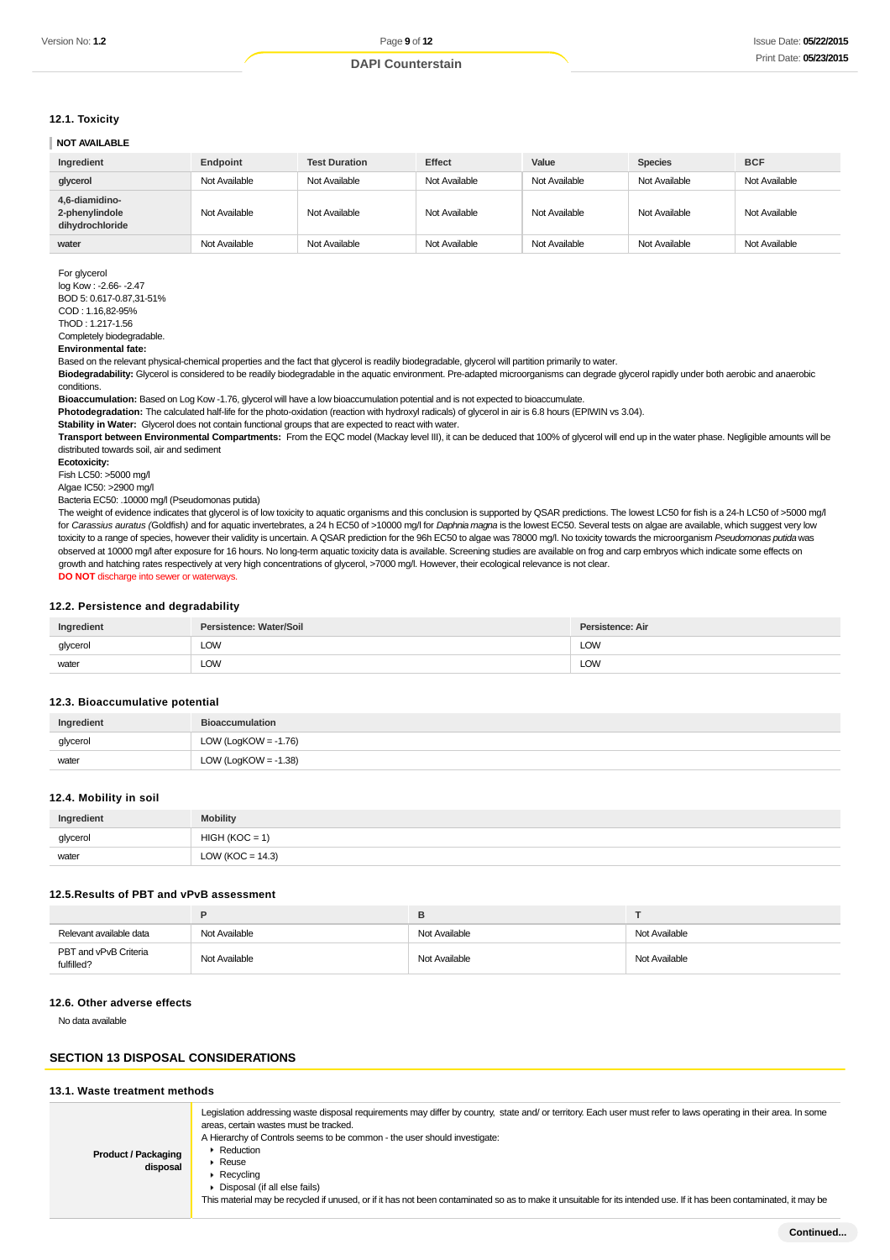#### **12.1. Toxicity**

#### **NOT AVAILABLE**

| Ingredient                                          | Endpoint      | <b>Test Duration</b> | <b>Effect</b> | Value         | <b>Species</b> | <b>BCF</b>    |
|-----------------------------------------------------|---------------|----------------------|---------------|---------------|----------------|---------------|
| glycerol                                            | Not Available | Not Available        | Not Available | Not Available | Not Available  | Not Available |
| 4,6-diamidino-<br>2-phenylindole<br>dihydrochloride | Not Available | Not Available        | Not Available | Not Available | Not Available  | Not Available |
| water                                               | Not Available | Not Available        | Not Available | Not Available | Not Available  | Not Available |

For glycerol log Kow : -2.66- -2.47 BOD 5: 0.617-0.87,31-51% COD : 1.16,82-95% ThOD : 1.217-1.56

## Completely biodegradable.

**Environmental fate:**

Based on the relevant physical-chemical properties and the fact that glycerol is readily biodegradable, glycerol will partition primarily to water.

Biodegradability: Glycerol is considered to be readily biodegradable in the aquatic environment. Pre-adapted microorganisms can degrade glycerol rapidly under both aerobic and anaerobic conditions.

**Bioaccumulation:** Based on Log Kow -1.76, glycerol will have a low bioaccumulation potential and is not expected to bioaccumulate.

**Photodegradation:** The calculated half-life for the photo-oxidation (reaction with hydroxyl radicals) of glycerol in air is 6.8 hours (EPIWIN vs 3.04).

**Stability in Water:** Glycerol does not contain functional groups that are expected to react with water.

**Transport between Environmental Compartments:** From the EQC model (Mackay level III), it can be deduced that 100% of glycerol will end up in the water phase. Negligible amounts will be distributed towards soil, air and sediment

**Ecotoxicity:**

Fish LC50: >5000 mg/l

Algae IC50: >2900 mg/l

Bacteria EC50: .10000 mg/l (Pseudomonas putida)

The weight of evidence indicates that glycerol is of low toxicity to aquatic organisms and this conclusion is supported by QSAR predictions. The lowest LC50 for fish is a 24-h LC50 of >5000 mg/l for Carassius auratus (Goldfish) and for aquatic invertebrates, a 24 h EC50 of >10000 mg/l for Daphnia magna is the lowest EC50. Several tests on algae are available, which suggest very low toxicity to a range of species, however their validity is uncertain. A QSAR prediction for the 96h EC50 to algae was 78000 mg/l. No toxicity towards the microorganism Pseudomonas putida was observed at 10000 mg/l after exposure for 16 hours. No long-term aquatic toxicity data is available. Screening studies are available on frog and carp embryos which indicate some effects on growth and hatching rates respectively at very high concentrations of glycerol, >7000 mg/l. However, their ecological relevance is not clear. **DO NOT** discharge into sewer or waterways.

#### **12.2. Persistence and degradability**

| Ingredient | Persistence: Water/Soil | Persistence: Air |
|------------|-------------------------|------------------|
| glycerol   | LOW<br>____             | LOW<br>____      |
| water      | LOW                     | LOW              |

#### **12.3. Bioaccumulative potential**

| Ingredient | <b>Bioaccumulation</b>  |
|------------|-------------------------|
| glycerol   | LOW (LogKOW = $-1.76$ ) |
| water      | LOW (LogKOW = $-1.38$ ) |

#### **12.4. Mobility in soil**

| Ingredient | <b>Mobility</b>              |
|------------|------------------------------|
| glycerol   | HIGH<br>$1(KOC = 2)$         |
| water      | ' (KOC = 14.3)<br><b>LOW</b> |

#### **12.5.Results of PBT and vPvB assessment**

|                                     | P             |               |               |
|-------------------------------------|---------------|---------------|---------------|
| Relevant available data             | Not Available | Not Available | Not Available |
| PBT and vPvB Criteria<br>fulfilled? | Not Available | Not Available | Not Available |

#### **12.6. Other adverse effects**

No data available

#### **SECTION 13 DISPOSAL CONSIDERATIONS**

#### **13.1. Waste treatment methods**

| <b>Product / Packaging</b><br>disposal | Legislation addressing waste disposal requirements may differ by country, state and/ or territory. Each user must refer to laws operating in their area. In some<br>areas, certain wastes must be tracked.<br>A Hierarchy of Controls seems to be common - the user should investigate:<br>• Reduction<br>$\blacktriangleright$ Reuse<br>$\triangleright$ Recycling<br>Disposal (if all else fails)<br>This material may be recycled if unused, or if it has not been contaminated so as to make it unsuitable for its intended use. If it has been contaminated, it may be |
|----------------------------------------|-----------------------------------------------------------------------------------------------------------------------------------------------------------------------------------------------------------------------------------------------------------------------------------------------------------------------------------------------------------------------------------------------------------------------------------------------------------------------------------------------------------------------------------------------------------------------------|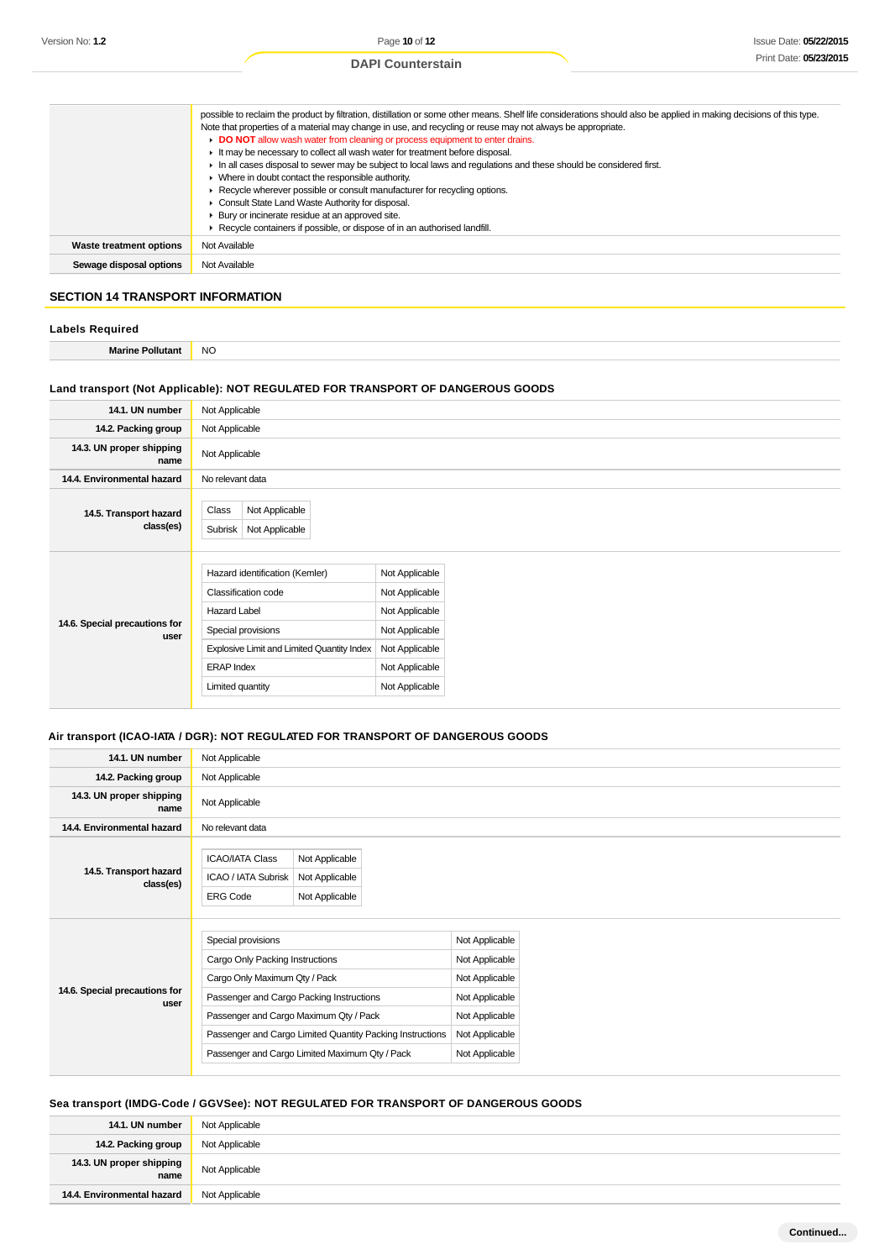|                                | possible to reclaim the product by filtration, distillation or some other means. Shelf life considerations should also be applied in making decisions of this type. |
|--------------------------------|---------------------------------------------------------------------------------------------------------------------------------------------------------------------|
|                                | Note that properties of a material may change in use, and recycling or reuse may not always be appropriate.                                                         |
|                                | DO NOT allow wash water from cleaning or process equipment to enter drains.                                                                                         |
|                                | It may be necessary to collect all wash water for treatment before disposal.                                                                                        |
|                                | In all cases disposal to sewer may be subject to local laws and regulations and these should be considered first.                                                   |
|                                | • Where in doubt contact the responsible authority.                                                                                                                 |
|                                | Recycle wherever possible or consult manufacturer for recycling options.                                                                                            |
|                                | Consult State Land Waste Authority for disposal.                                                                                                                    |
|                                | ▶ Bury or incinerate residue at an approved site.                                                                                                                   |
|                                | Recycle containers if possible, or dispose of in an authorised landfill.                                                                                            |
| <b>Waste treatment options</b> | Not Available                                                                                                                                                       |
| Sewage disposal options        | Not Available                                                                                                                                                       |

## **SECTION 14 TRANSPORT INFORMATION**

| <b>Labels Required</b>  |           |
|-------------------------|-----------|
| <b>Marine Pollutant</b> | <b>NO</b> |

## **Land transport (Not Applicable): NOT REGULATED FOR TRANSPORT OF DANGEROUS GOODS**

| 14.1. UN number                       | Not Applicable                                                                                                                                                                            |                                                                                                                            |
|---------------------------------------|-------------------------------------------------------------------------------------------------------------------------------------------------------------------------------------------|----------------------------------------------------------------------------------------------------------------------------|
| 14.2. Packing group                   | Not Applicable                                                                                                                                                                            |                                                                                                                            |
| 14.3. UN proper shipping<br>name      | Not Applicable                                                                                                                                                                            |                                                                                                                            |
| 14.4. Environmental hazard            | No relevant data                                                                                                                                                                          |                                                                                                                            |
| 14.5. Transport hazard<br>class(es)   | Not Applicable<br>Class<br>Subrisk<br>Not Applicable                                                                                                                                      |                                                                                                                            |
| 14.6. Special precautions for<br>user | Hazard identification (Kemler)<br>Classification code<br><b>Hazard Label</b><br>Special provisions<br>Explosive Limit and Limited Quantity Index<br><b>ERAP Index</b><br>Limited quantity | Not Applicable<br>Not Applicable<br>Not Applicable<br>Not Applicable<br>Not Applicable<br>Not Applicable<br>Not Applicable |

## **Air transport (ICAO-IATA / DGR): NOT REGULATED FOR TRANSPORT OF DANGEROUS GOODS**

| 14.1. UN number                     | Not Applicable                                                   |                                                           |                |
|-------------------------------------|------------------------------------------------------------------|-----------------------------------------------------------|----------------|
| 14.2. Packing group                 | Not Applicable                                                   |                                                           |                |
| 14.3. UN proper shipping<br>name    | Not Applicable                                                   |                                                           |                |
| 14.4. Environmental hazard          | No relevant data                                                 |                                                           |                |
| 14.5. Transport hazard<br>class(es) | <b>ICAO/IATA Class</b><br>ICAO / IATA Subrisk<br><b>ERG Code</b> | Not Applicable<br>Not Applicable<br>Not Applicable        |                |
|                                     | Special provisions                                               |                                                           | Not Applicable |
|                                     | Cargo Only Packing Instructions                                  |                                                           | Not Applicable |
| 14.6. Special precautions for       | Cargo Only Maximum Qty / Pack                                    |                                                           | Not Applicable |
| user                                |                                                                  | Passenger and Cargo Packing Instructions                  | Not Applicable |
|                                     |                                                                  | Passenger and Cargo Maximum Qty / Pack                    | Not Applicable |
|                                     |                                                                  | Passenger and Cargo Limited Quantity Packing Instructions | Not Applicable |
|                                     |                                                                  |                                                           |                |

## **Sea transport (IMDG-Code / GGVSee): NOT REGULATED FOR TRANSPORT OF DANGEROUS GOODS**

| 14.1. UN number                  | Not Applicable |
|----------------------------------|----------------|
| 14.2. Packing group              | Not Applicable |
| 14.3. UN proper shipping<br>name | Not Applicable |
| 14.4. Environmental hazard       | Not Applicable |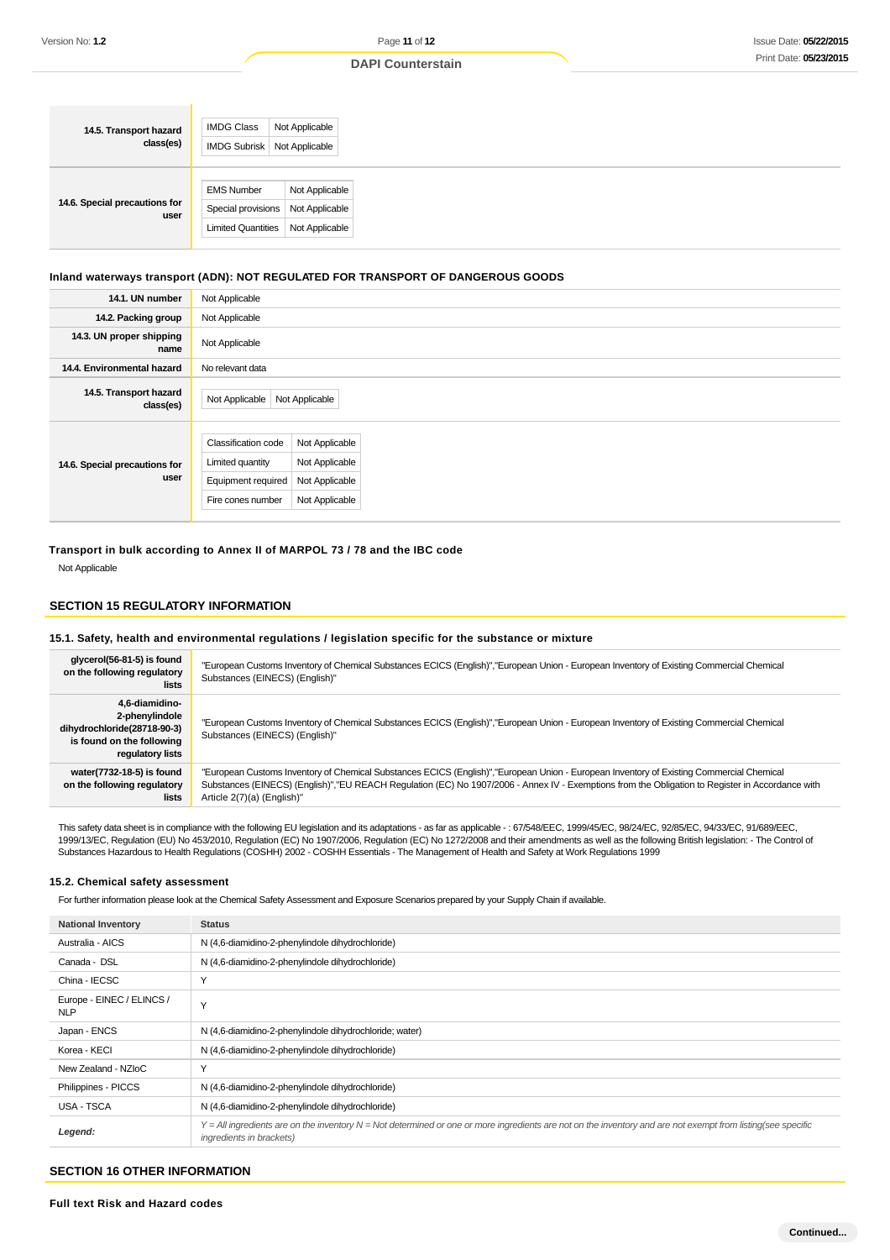#### **DAPI Counterstain**

## **Inland waterways transport (ADN): NOT REGULATED FOR TRANSPORT OF DANGEROUS GOODS**

| 14.1. UN number                       | Not Applicable                                                                                   |                                                                      |  |
|---------------------------------------|--------------------------------------------------------------------------------------------------|----------------------------------------------------------------------|--|
| 14.2. Packing group                   | Not Applicable                                                                                   |                                                                      |  |
| 14.3. UN proper shipping<br>name      | Not Applicable                                                                                   |                                                                      |  |
| 14.4. Environmental hazard            | No relevant data                                                                                 |                                                                      |  |
| 14.5. Transport hazard<br>class(es)   | Not Applicable                                                                                   | Not Applicable                                                       |  |
| 14.6. Special precautions for<br>user | <b>Classification code</b><br>Limited quantity<br><b>Equipment required</b><br>Fire cones number | Not Applicable<br>Not Applicable<br>Not Applicable<br>Not Applicable |  |

## **Transport in bulk according to Annex II of MARPOL 73 / 78 and the IBC code**

Not Applicable

## **SECTION 15 REGULATORY INFORMATION**

#### **15.1. Safety, health and environmental regulations / legislation specific for the substance or mixture**

| glycerol(56-81-5) is found<br>on the following regulatory<br>lists                                               | "European Customs Inventory of Chemical Substances ECICS (English)","European Union - European Inventory of Existing Commercial Chemical<br>Substances (EINECS) (English)"                                                                                                                                                 |
|------------------------------------------------------------------------------------------------------------------|----------------------------------------------------------------------------------------------------------------------------------------------------------------------------------------------------------------------------------------------------------------------------------------------------------------------------|
| 4,6-diamidino-<br>2-phenylindole<br>dihydrochloride(28718-90-3)<br>is found on the following<br>regulatory lists | "European Customs Inventory of Chemical Substances ECICS (English)","European Union - European Inventory of Existing Commercial Chemical<br>Substances (EINECS) (English)"                                                                                                                                                 |
| water(7732-18-5) is found<br>on the following regulatory<br>lists                                                | "European Customs Inventory of Chemical Substances ECICS (English)","European Union - European Inventory of Existing Commercial Chemical<br>Substances (EINECS) (English)","EU REACH Requlation (EC) No 1907/2006 - Annex IV - Exemptions from the Obligation to Register in Accordance with<br>Article 2(7)(a) (English)" |

This safety data sheet is in compliance with the following EU legislation and its adaptations - as far as applicable - : 67/548/EEC, 1999/45/EC, 98/24/EC, 92/85/EC, 94/33/EC, 91/689/EEC, 1999/13/EC, Regulation (EU) No 453/2010, Regulation (EC) No 1907/2006, Regulation (EC) No 1272/2008 and their amendments as well as the following British legislation: - The Control of Substances Hazardous to Health Regulations (COSHH) 2002 - COSHH Essentials - The Management of Health and Safety at Work Regulations 1999

#### **15.2. Chemical safety assessment**

For further information please look at the Chemical Safety Assessment and Exposure Scenarios prepared by your Supply Chain if available.

| Australia - AICS<br>N (4,6-diamidino-2-phenylindole dihydrochloride)<br>Canada - DSL<br>N (4,6-diamidino-2-phenylindole dihydrochloride)<br>$\vee$<br>China - IECSC<br>Europe - EINEC / ELINCS /<br>$\checkmark$<br><b>NLP</b><br>Japan - ENCS<br>N (4,6-diamidino-2-phenylindole dihydrochloride; water)<br>Korea - KECI<br>N (4,6-diamidino-2-phenylindole dihydrochloride)<br>$\checkmark$<br>New Zealand - NZIoC<br>Philippines - PICCS<br>N (4,6-diamidino-2-phenylindole dihydrochloride)<br>USA - TSCA<br>N (4,6-diamidino-2-phenylindole dihydrochloride)<br>$Y = All$ ingredients are on the inventory $N = Not$ determined or one or more ingredients are not on the inventory and are not exempt from listing(see specific<br>Legend:<br>ingredients in brackets) | <b>National Inventory</b> | <b>Status</b> |
|------------------------------------------------------------------------------------------------------------------------------------------------------------------------------------------------------------------------------------------------------------------------------------------------------------------------------------------------------------------------------------------------------------------------------------------------------------------------------------------------------------------------------------------------------------------------------------------------------------------------------------------------------------------------------------------------------------------------------------------------------------------------------|---------------------------|---------------|
|                                                                                                                                                                                                                                                                                                                                                                                                                                                                                                                                                                                                                                                                                                                                                                              |                           |               |
|                                                                                                                                                                                                                                                                                                                                                                                                                                                                                                                                                                                                                                                                                                                                                                              |                           |               |
|                                                                                                                                                                                                                                                                                                                                                                                                                                                                                                                                                                                                                                                                                                                                                                              |                           |               |
|                                                                                                                                                                                                                                                                                                                                                                                                                                                                                                                                                                                                                                                                                                                                                                              |                           |               |
|                                                                                                                                                                                                                                                                                                                                                                                                                                                                                                                                                                                                                                                                                                                                                                              |                           |               |
|                                                                                                                                                                                                                                                                                                                                                                                                                                                                                                                                                                                                                                                                                                                                                                              |                           |               |
|                                                                                                                                                                                                                                                                                                                                                                                                                                                                                                                                                                                                                                                                                                                                                                              |                           |               |
|                                                                                                                                                                                                                                                                                                                                                                                                                                                                                                                                                                                                                                                                                                                                                                              |                           |               |
|                                                                                                                                                                                                                                                                                                                                                                                                                                                                                                                                                                                                                                                                                                                                                                              |                           |               |
|                                                                                                                                                                                                                                                                                                                                                                                                                                                                                                                                                                                                                                                                                                                                                                              |                           |               |

## **SECTION 16 OTHER INFORMATION**